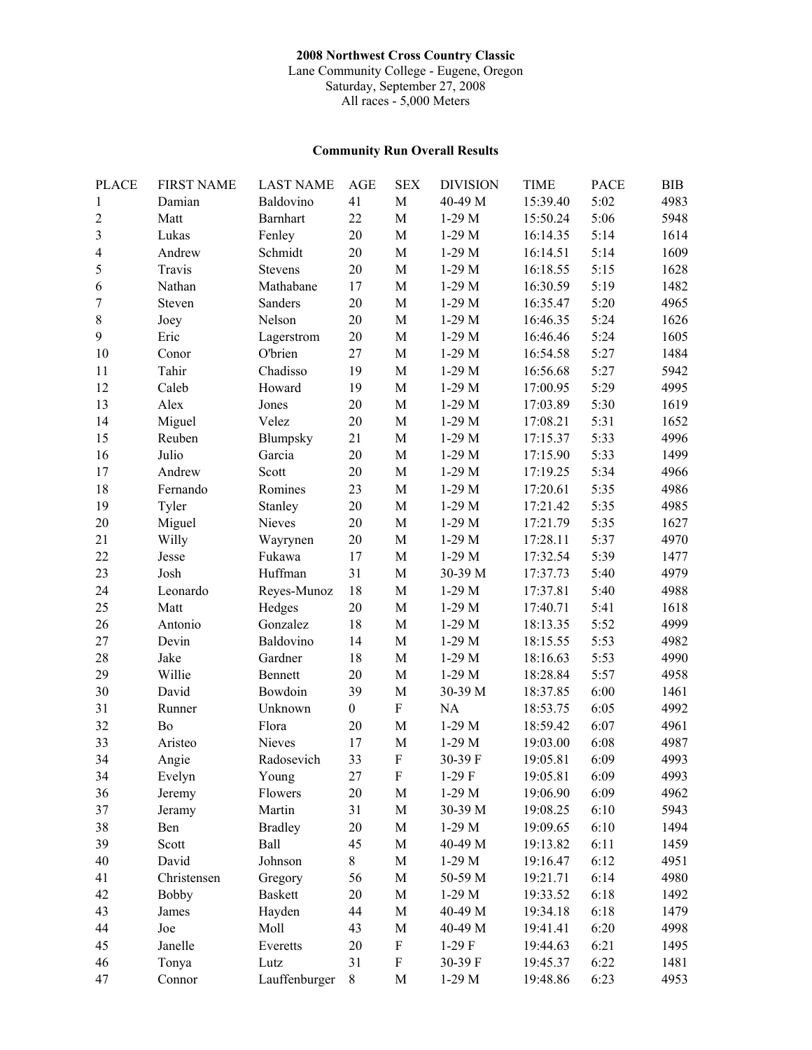## **2008 Northwest Cross Country Classic**

Lane Community College - Eugene, Oregon Saturday, September 27, 2008 All races - 5,000 Meters

## **Community Run Overall Results**

| <b>PLACE</b>   | <b>FIRST NAME</b> | <b>LAST NAME</b> | <b>AGE</b>       | <b>SEX</b>   | <b>DIVISION</b> | <b>TIME</b> | <b>PACE</b> | <b>BIB</b> |
|----------------|-------------------|------------------|------------------|--------------|-----------------|-------------|-------------|------------|
| 1              | Damian            | Baldovino        | 41               | $\mathbf M$  | 40-49 M         | 15:39.40    | 5:02        | 4983       |
| $\overline{c}$ | Matt              | <b>Barnhart</b>  | 22               | $\mathbf M$  | $1-29$ M        | 15:50.24    | 5:06        | 5948       |
| 3              | Lukas             | Fenley           | $20\,$           | $\mathbf M$  | $1-29$ M        | 16:14.35    | 5:14        | 1614       |
| 4              | Andrew            | Schmidt          | 20               | M            | $1-29$ M        | 16:14.51    | 5:14        | 1609       |
| 5              | Travis            | <b>Stevens</b>   | $20\,$           | $\mathbf M$  | $1-29$ M        | 16:18.55    | 5:15        | 1628       |
| 6              | Nathan            | Mathabane        | 17               | $\mathbf M$  | $1-29$ M        | 16:30.59    | 5:19        | 1482       |
| 7              | Steven            | Sanders          | $20\,$           | $\mathbf M$  | $1-29$ M        | 16:35.47    | 5:20        | 4965       |
| 8              | Joey              | Nelson           | $20\,$           | $\mathbf M$  | $1-29$ M        | 16:46.35    | 5:24        | 1626       |
| 9              | Eric              | Lagerstrom       | $20\,$           | $\mathbf M$  | $1-29$ M        | 16:46.46    | 5:24        | 1605       |
| 10             | Conor             | O'brien          | 27               | $\mathbf M$  | $1-29$ M        | 16:54.58    | 5:27        | 1484       |
| 11             | Tahir             | Chadisso         | 19               | $\mathbf M$  | $1-29$ M        | 16:56.68    | 5:27        | 5942       |
| 12             | Caleb             | Howard           | 19               | $\mathbf M$  | $1-29$ M        | 17:00.95    | 5:29        | 4995       |
| 13             | Alex              | Jones            | 20               | $\mathbf M$  | $1-29$ M        | 17:03.89    | 5:30        | 1619       |
| 14             | Miguel            | Velez            | 20               | $\mathbf M$  | $1-29$ M        | 17:08.21    | 5:31        | 1652       |
| 15             | Reuben            | Blumpsky         | 21               | $\mathbf M$  | $1-29$ M        | 17:15.37    | 5:33        | 4996       |
| 16             | Julio             | Garcia           | 20               | $\mathbf M$  | $1-29$ M        | 17:15.90    | 5:33        | 1499       |
| 17             | Andrew            | Scott            | $20\,$           | $\mathbf M$  | $1-29$ M        | 17:19.25    | 5:34        | 4966       |
| 18             | Fernando          | Romines          | 23               | $\mathbf M$  | $1-29$ M        | 17:20.61    | 5:35        | 4986       |
| 19             | Tyler             | Stanley          | 20               | $\mathbf M$  | $1-29$ M        | 17:21.42    | 5:35        | 4985       |
| 20             | Miguel            | Nieves           | 20               | $\mathbf M$  | $1-29$ M        | 17:21.79    | 5:35        | 1627       |
| 21             | Willy             | Wayrynen         | 20               | $\mathbf M$  | $1-29$ M        | 17:28.11    | 5:37        | 4970       |
| 22             | Jesse             | Fukawa           | 17               | $\mathbf M$  | $1-29$ M        | 17:32.54    | 5:39        | 1477       |
| 23             | Josh              | Huffman          | 31               | $\mathbf M$  | 30-39 M         | 17:37.73    | 5:40        | 4979       |
| 24             | Leonardo          | Reyes-Munoz      | 18               | $\mathbf M$  | $1-29$ M        | 17:37.81    | 5:40        | 4988       |
| 25             | Matt              | Hedges           | $20\,$           | $\mathbf M$  | $1-29$ M        | 17:40.71    | 5:41        | 1618       |
| 26             | Antonio           | Gonzalez         | 18               | M            | $1-29$ M        | 18:13.35    | 5:52        | 4999       |
| 27             | Devin             | Baldovino        | 14               | $\mathbf M$  | $1-29$ M        | 18:15.55    | 5:53        | 4982       |
| 28             | Jake              | Gardner          | 18               | $\mathbf M$  | $1-29$ M        | 18:16.63    | 5:53        | 4990       |
| 29             | Willie            | Bennett          | $20\,$           | $\mathbf M$  | $1-29$ M        | 18:28.84    | 5:57        | 4958       |
| 30             | David             | Bowdoin          | 39               | $\mathbf M$  | 30-39 M         | 18:37.85    | 6:00        | 1461       |
| 31             | Runner            | Unknown          | $\boldsymbol{0}$ | ${\bf F}$    | NA              | 18:53.75    | 6:05        | 4992       |
| 32             | Bo                | Flora            | 20               | $\mathbf M$  | $1-29$ M        | 18:59.42    | 6:07        | 4961       |
| 33             | Aristeo           | Nieves           | 17               | $\mathbf M$  | $1-29$ M        | 19:03.00    | 6:08        | 4987       |
| 34             | Angie             | Radosevich       | 33               | $\mathbf{F}$ | 30-39 F         | 19:05.81    | 6:09        | 4993       |
| 34             | Evelyn            | Young            | 27               | F            | 1-29 F          | 19:05.81    | 6:09        | 4993       |
| 36             | Jeremy            | Flowers          | 20               | $\mathbf M$  | $1-29$ M        | 19:06.90    | 6:09        | 4962       |
| 37             | Jeramy            | Martin           | 31               | $\mathbf M$  | 30-39 M         | 19:08.25    | 6:10        | 5943       |
| 38             | Ben               | <b>Bradley</b>   | 20               | $\mathbf M$  | $1-29$ M        | 19:09.65    | 6:10        | 1494       |
| 39             | Scott             | Ball             | 45               | $\mathbf M$  | 40-49 M         | 19:13.82    | 6:11        | 1459       |
| 40             | David             | Johnson          | 8                | $\mathbf M$  | $1-29$ M        | 19:16.47    | 6:12        | 4951       |
| 41             | Christensen       | Gregory          | 56               | $\mathbf M$  | 50-59 M         | 19:21.71    | 6:14        | 4980       |
| 42             | <b>Bobby</b>      | <b>Baskett</b>   | 20               | $\mathbf M$  | $1-29$ M        | 19:33.52    | 6:18        | 1492       |
| 43             | James             | Hayden           | 44               | $\mathbf M$  | 40-49 M         | 19:34.18    | 6:18        | 1479       |
| 44             | Joe               | Moll             | 43               | $\mathbf M$  | 40-49 M         | 19:41.41    | 6:20        | 4998       |
| 45             | Janelle           | Everetts         | 20               | ${\bf F}$    | $1-29$ F        | 19:44.63    | 6:21        | 1495       |
| 46             | Tonya             | Lutz             | 31               | ${\bf F}$    | 30-39 F         | 19:45.37    | 6:22        | 1481       |
| 47             | Connor            | Lauffenburger    | $8\,$            | $\mathbf M$  | $1-29$ M        | 19:48.86    | 6:23        | 4953       |
|                |                   |                  |                  |              |                 |             |             |            |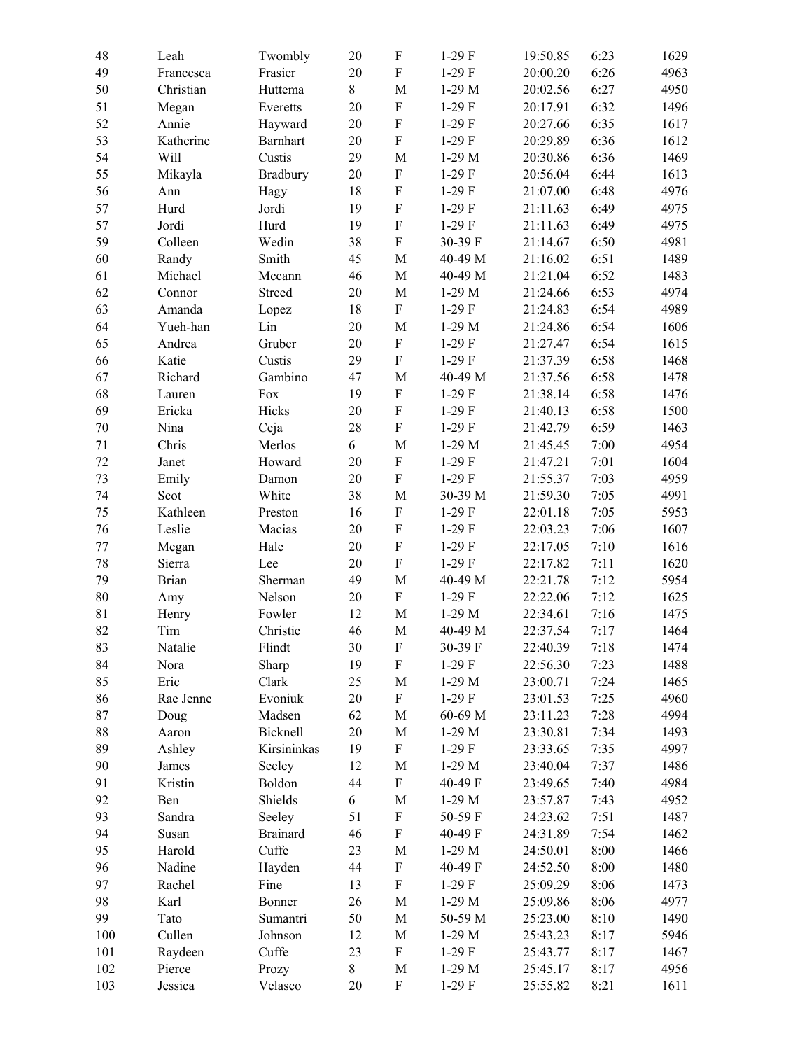| 48  | Leah         | Twombly         | 20     | ${\bf F}$                 | $1-29$ F | 19:50.85 | 6:23 | 1629 |
|-----|--------------|-----------------|--------|---------------------------|----------|----------|------|------|
| 49  | Francesca    | Frasier         | 20     | $\boldsymbol{\mathrm{F}}$ | $1-29$ F | 20:00.20 | 6:26 | 4963 |
| 50  | Christian    | Huttema         | $8\,$  | $\mathbf M$               | $1-29$ M | 20:02.56 | 6:27 | 4950 |
| 51  | Megan        | Everetts        | 20     | ${\bf F}$                 | $1-29$ F | 20:17.91 | 6:32 | 1496 |
| 52  | Annie        | Hayward         | $20\,$ | ${\bf F}$                 | $1-29$ F | 20:27.66 | 6:35 | 1617 |
| 53  | Katherine    | <b>Barnhart</b> | 20     | ${\bf F}$                 | $1-29$ F | 20:29.89 | 6:36 | 1612 |
| 54  | Will         | Custis          | 29     | M                         | $1-29$ M | 20:30.86 | 6:36 | 1469 |
| 55  | Mikayla      | Bradbury        | $20\,$ | ${\bf F}$                 | $1-29$ F | 20:56.04 | 6:44 | 1613 |
| 56  | Ann          | Hagy            | 18     | ${\bf F}$                 | $1-29$ F | 21:07.00 | 6:48 | 4976 |
| 57  | Hurd         | Jordi           | 19     | $\rm F$                   | $1-29$ F | 21:11.63 | 6:49 | 4975 |
| 57  | Jordi        | Hurd            | 19     | $\boldsymbol{\mathrm{F}}$ | $1-29$ F | 21:11.63 | 6:49 | 4975 |
| 59  | Colleen      | Wedin           | 38     | ${\bf F}$                 | 30-39 F  | 21:14.67 | 6:50 | 4981 |
| 60  | Randy        | Smith           | 45     | $\mathbf M$               | 40-49 M  | 21:16.02 | 6:51 | 1489 |
| 61  | Michael      | Mccann          | 46     | $\mathbf M$               | 40-49 M  | 21:21.04 | 6:52 | 1483 |
| 62  | Connor       | Streed          | $20\,$ | M                         | $1-29$ M | 21:24.66 | 6:53 | 4974 |
| 63  | Amanda       | Lopez           | 18     | $\mathbf F$               | $1-29$ F | 21:24.83 | 6:54 | 4989 |
| 64  | Yueh-han     | Lin             | 20     | $\mathbf M$               | $1-29$ M | 21:24.86 | 6:54 | 1606 |
| 65  | Andrea       | Gruber          | $20\,$ | ${\bf F}$                 | $1-29$ F | 21:27.47 | 6:54 | 1615 |
| 66  | Katie        | Custis          | 29     | ${\bf F}$                 | $1-29$ F | 21:37.39 | 6:58 | 1468 |
| 67  | Richard      | Gambino         | 47     | $\mathbf M$               | 40-49 M  | 21:37.56 | 6:58 | 1478 |
| 68  | Lauren       | Fox             | 19     | $\mathbf F$               | $1-29$ F | 21:38.14 | 6:58 | 1476 |
| 69  | Ericka       | Hicks           | 20     | $\mathbf F$               | $1-29$ F | 21:40.13 | 6:58 | 1500 |
| 70  | Nina         | Ceja            | 28     | ${\bf F}$                 | $1-29$ F | 21:42.79 | 6:59 | 1463 |
| 71  | Chris        | Merlos          | 6      | $\mathbf M$               | $1-29$ M | 21:45.45 | 7:00 | 4954 |
| 72  | Janet        | Howard          | $20\,$ | ${\bf F}$                 | $1-29$ F | 21:47.21 | 7:01 | 1604 |
| 73  | Emily        | Damon           | $20\,$ | $\mathbf F$               | $1-29$ F | 21:55.37 | 7:03 | 4959 |
| 74  | Scot         | White           | 38     | $\mathbf M$               | 30-39 M  | 21:59.30 | 7:05 | 4991 |
| 75  | Kathleen     | Preston         | 16     | ${\bf F}$                 | $1-29$ F | 22:01.18 | 7:05 | 5953 |
| 76  | Leslie       | Macias          | 20     | ${\bf F}$                 | $1-29$ F | 22:03.23 | 7:06 | 1607 |
| 77  | Megan        | Hale            | 20     | ${\bf F}$                 | $1-29$ F | 22:17.05 | 7:10 | 1616 |
| 78  | Sierra       | Lee             | 20     | $\mathbf F$               | $1-29$ F | 22:17.82 | 7:11 | 1620 |
| 79  | <b>Brian</b> | Sherman         | 49     | $\mathbf M$               | 40-49 M  | 22:21.78 | 7:12 | 5954 |
| 80  | Amy          | Nelson          | $20\,$ | $\rm F$                   | $1-29$ F | 22:22.06 | 7:12 | 1625 |
| 81  | Henry        | Fowler          | 12     | $\mathbf M$               | $1-29$ M | 22:34.61 | 7:16 | 1475 |
| 82  | Tim          | Christie        | 46     | $\mathbf M$               | 40-49 M  | 22:37.54 | 7:17 | 1464 |
| 83  | Natalie      | Flindt          | 30     | F                         | 30-39 F  | 22:40.39 | 7:18 | 1474 |
| 84  | Nora         | Sharp           | 19     | ${\bf F}$                 | $1-29$ F | 22:56.30 | 7:23 | 1488 |
| 85  | Eric         | Clark           | 25     | M                         | $1-29$ M | 23:00.71 | 7:24 | 1465 |
| 86  | Rae Jenne    | Evoniuk         | $20\,$ | ${\bf F}$                 | $1-29$ F | 23:01.53 | 7:25 | 4960 |
| 87  | Doug         | Madsen          | 62     | M                         | 60-69 M  | 23:11.23 | 7:28 | 4994 |
| 88  | Aaron        | Bicknell        | $20\,$ | $\mathbf M$               | $1-29$ M | 23:30.81 | 7:34 | 1493 |
| 89  | Ashley       | Kirsininkas     | 19     | ${\bf F}$                 | $1-29$ F | 23:33.65 | 7:35 | 4997 |
| 90  | James        | Seeley          | 12     | $\mathbf M$               | $1-29$ M | 23:40.04 | 7:37 | 1486 |
| 91  | Kristin      | Boldon          | 44     | ${\bf F}$                 | 40-49 F  | 23:49.65 | 7:40 | 4984 |
| 92  | Ben          | Shields         | 6      | M                         | $1-29$ M | 23:57.87 | 7:43 | 4952 |
| 93  | Sandra       | Seeley          | 51     | ${\bf F}$                 | 50-59 F  | 24:23.62 | 7:51 | 1487 |
| 94  | Susan        | <b>Brainard</b> | 46     | ${\bf F}$                 | 40-49 F  | 24:31.89 | 7:54 | 1462 |
| 95  | Harold       | Cuffe           | 23     | M                         | $1-29$ M | 24:50.01 | 8:00 | 1466 |
| 96  | Nadine       | Hayden          | 44     | ${\bf F}$                 | 40-49 F  | 24:52.50 | 8:00 | 1480 |
| 97  | Rachel       | Fine            | 13     | ${\bf F}$                 | $1-29$ F | 25:09.29 | 8:06 | 1473 |
| 98  | Karl         | Bonner          | 26     | $\mathbf M$               | $1-29$ M | 25:09.86 | 8:06 | 4977 |
| 99  | Tato         | Sumantri        | 50     | M                         | 50-59 M  | 25:23.00 | 8:10 | 1490 |
| 100 | Cullen       | Johnson         | 12     | M                         | $1-29$ M | 25:43.23 | 8:17 | 5946 |
| 101 | Raydeen      | Cuffe           | 23     | ${\bf F}$                 | $1-29$ F | 25:43.77 | 8:17 | 1467 |
| 102 | Pierce       | Prozy           | $8\,$  | $\mathbf M$               | $1-29$ M | 25:45.17 | 8:17 | 4956 |
| 103 | Jessica      | Velasco         | $20\,$ | ${\rm F}$                 | $1-29$ F | 25:55.82 | 8:21 | 1611 |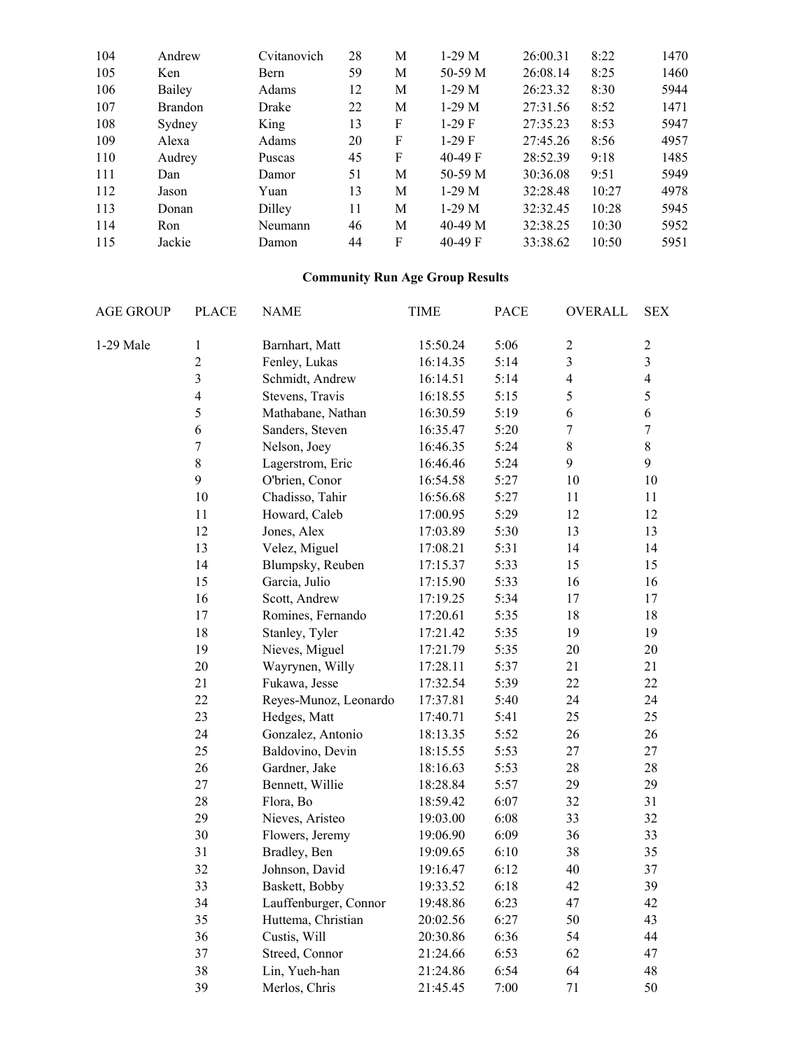| 104 | Andrew         | Cvitanovich  | 28 | M | $1-29$ M  | 26:00.31 | 8:22  | 1470 |
|-----|----------------|--------------|----|---|-----------|----------|-------|------|
| 105 | Ken            | Bern         | 59 | М | 50-59 M   | 26:08.14 | 8:25  | 1460 |
| 106 | Bailey         | Adams        | 12 | M | $1-29$ M  | 26:23.32 | 8:30  | 5944 |
| 107 | <b>Brandon</b> | Drake        | 22 | M | $1-29$ M  | 27:31.56 | 8:52  | 1471 |
| 108 | Sydney         | King         | 13 | F | $1-29F$   | 27:35.23 | 8:53  | 5947 |
| 109 | Alexa          | <b>Adams</b> | 20 | F | $1-29F$   | 27:45.26 | 8:56  | 4957 |
| 110 | Audrey         | Puscas       | 45 | F | $40-49$ F | 28:52.39 | 9:18  | 1485 |
| 111 | Dan            | Damor        | 51 | М | 50-59 M   | 30:36.08 | 9:51  | 5949 |
| 112 | Jason          | Yuan         | 13 | M | $1-29$ M  | 32:28.48 | 10:27 | 4978 |
| 113 | Donan          | Dilley       | 11 | M | $1-29$ M  | 32:32.45 | 10:28 | 5945 |
| 114 | Ron            | Neumann      | 46 | M | $40-49$ M | 32:38.25 | 10:30 | 5952 |
| 115 | Jackie         | Damon        | 44 | F | $40-49$ F | 33:38.62 | 10:50 | 5951 |

### **Community Run Age Group Results**

| <b>AGE GROUP</b> | <b>PLACE</b>   | <b>NAME</b>           | <b>TIME</b> | <b>PACE</b> | OVERALL                 | <b>SEX</b>              |  |
|------------------|----------------|-----------------------|-------------|-------------|-------------------------|-------------------------|--|
| 1-29 Male        | $\mathbf{1}$   | Barnhart, Matt        | 15:50.24    | 5:06        | $\overline{c}$          | $\boldsymbol{2}$        |  |
|                  | $\overline{c}$ | Fenley, Lukas         | 16:14.35    | 5:14        | $\overline{\mathbf{3}}$ | $\overline{\mathbf{3}}$ |  |
|                  | $\overline{3}$ | Schmidt, Andrew       | 16:14.51    | 5:14        | $\overline{4}$          | $\overline{\mathbf{4}}$ |  |
|                  | $\overline{4}$ | Stevens, Travis       | 16:18.55    | 5:15        | 5                       | 5                       |  |
|                  | 5              | Mathabane, Nathan     | 16:30.59    | 5:19        | 6                       | $\sqrt{6}$              |  |
|                  | 6              | Sanders, Steven       | 16:35.47    | 5:20        | $\boldsymbol{7}$        | $\boldsymbol{7}$        |  |
|                  | $\overline{7}$ | Nelson, Joey          | 16:46.35    | 5:24        | 8                       | $8\,$                   |  |
|                  | $\,8\,$        | Lagerstrom, Eric      | 16:46.46    | 5:24        | 9                       | 9                       |  |
|                  | 9              | O'brien, Conor        | 16:54.58    | 5:27        | 10                      | $10\,$                  |  |
|                  | $10\,$         | Chadisso, Tahir       | 16:56.68    | 5:27        | 11                      | 11                      |  |
|                  | 11             | Howard, Caleb         | 17:00.95    | 5:29        | 12                      | 12                      |  |
|                  | 12             | Jones, Alex           | 17:03.89    | 5:30        | 13                      | 13                      |  |
|                  | 13             | Velez, Miguel         | 17:08.21    | 5:31        | 14                      | 14                      |  |
|                  | 14             | Blumpsky, Reuben      | 17:15.37    | 5:33        | 15                      | 15                      |  |
|                  | 15             | Garcia, Julio         | 17:15.90    | 5:33        | 16                      | 16                      |  |
|                  | 16             | Scott, Andrew         | 17:19.25    | 5:34        | 17                      | 17                      |  |
|                  | $17\,$         | Romines, Fernando     | 17:20.61    | 5:35        | 18                      | 18                      |  |
|                  | 18             | Stanley, Tyler        | 17:21.42    | 5:35        | 19                      | 19                      |  |
|                  | 19             | Nieves, Miguel        | 17:21.79    | 5:35        | 20                      | 20                      |  |
|                  | 20             | Wayrynen, Willy       | 17:28.11    | 5:37        | 21                      | 21                      |  |
|                  | 21             | Fukawa, Jesse         | 17:32.54    | 5:39        | 22                      | 22                      |  |
|                  | 22             | Reyes-Munoz, Leonardo | 17:37.81    | 5:40        | 24                      | 24                      |  |
|                  | 23             | Hedges, Matt          | 17:40.71    | 5:41        | 25                      | 25                      |  |
|                  | 24             | Gonzalez, Antonio     | 18:13.35    | 5:52        | 26                      | 26                      |  |
|                  | 25             | Baldovino, Devin      | 18:15.55    | 5:53        | 27                      | 27                      |  |
|                  | 26             | Gardner, Jake         | 18:16.63    | 5:53        | 28                      | 28                      |  |
|                  | 27             | Bennett, Willie       | 18:28.84    | 5:57        | 29                      | 29                      |  |
|                  | 28             | Flora, Bo             | 18:59.42    | 6:07        | 32                      | 31                      |  |
|                  | 29             | Nieves, Aristeo       | 19:03.00    | 6:08        | 33                      | 32                      |  |
|                  | 30             | Flowers, Jeremy       | 19:06.90    | 6:09        | 36                      | 33                      |  |
|                  | 31             | Bradley, Ben          | 19:09.65    | 6:10        | 38                      | 35                      |  |
|                  | 32             | Johnson, David        | 19:16.47    | 6:12        | 40                      | 37                      |  |
|                  | 33             | Baskett, Bobby        | 19:33.52    | 6:18        | 42                      | 39                      |  |
|                  | 34             | Lauffenburger, Connor | 19:48.86    | 6:23        | 47                      | 42                      |  |
|                  | 35             | Huttema, Christian    | 20:02.56    | 6:27        | 50                      | 43                      |  |
|                  | 36             | Custis, Will          | 20:30.86    | 6:36        | 54                      | 44                      |  |
|                  | 37             | Streed, Connor        | 21:24.66    | 6:53        | 62                      | 47                      |  |
|                  | 38             | Lin, Yueh-han         | 21:24.86    | 6:54        | 64                      | 48                      |  |
|                  | 39             | Merlos, Chris         | 21:45.45    | 7:00        | $71\,$                  | 50                      |  |
|                  |                |                       |             |             |                         |                         |  |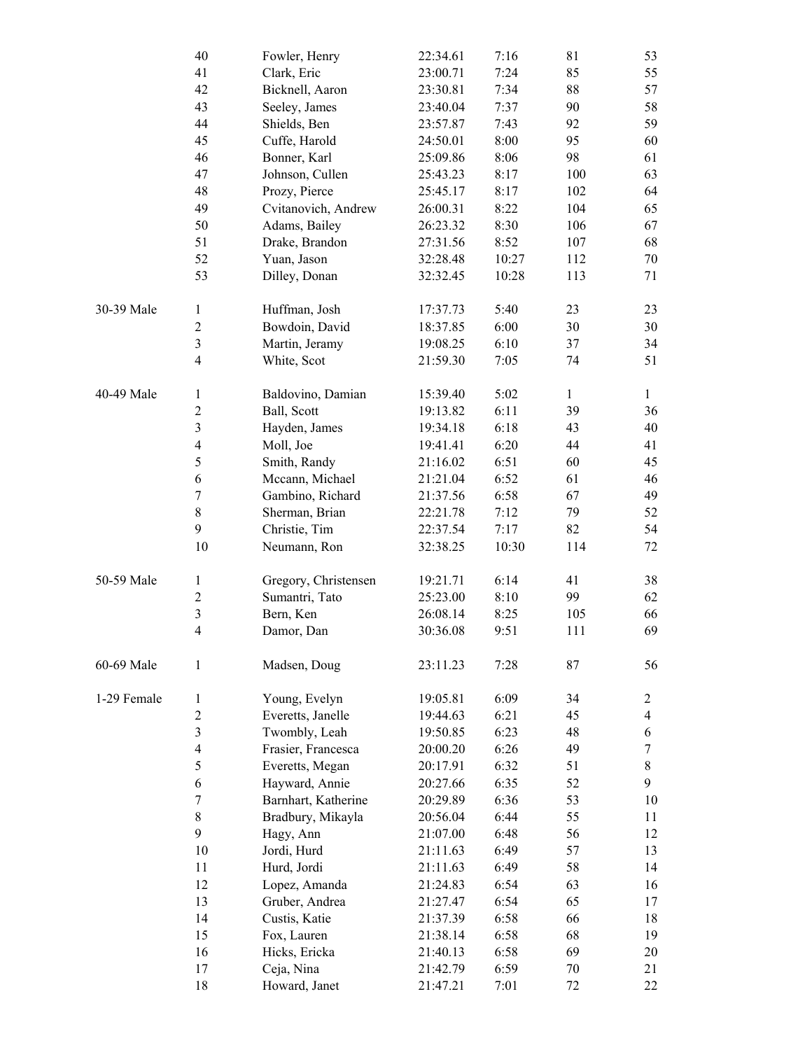|             | 40                      | Fowler, Henry        | 22:34.61 | 7:16  | 81           | 53                      |
|-------------|-------------------------|----------------------|----------|-------|--------------|-------------------------|
|             | 41                      | Clark, Eric          | 23:00.71 | 7:24  | 85           | 55                      |
|             | 42                      | Bicknell, Aaron      | 23:30.81 | 7:34  | 88           | 57                      |
|             | 43                      | Seeley, James        | 23:40.04 | 7:37  | 90           | 58                      |
|             | 44                      | Shields, Ben         | 23:57.87 | 7:43  | 92           | 59                      |
|             | 45                      | Cuffe, Harold        | 24:50.01 | 8:00  | 95           | 60                      |
|             | 46                      | Bonner, Karl         | 25:09.86 | 8:06  | 98           | 61                      |
|             | 47                      | Johnson, Cullen      | 25:43.23 | 8:17  | 100          | 63                      |
|             | 48                      | Prozy, Pierce        | 25:45.17 | 8:17  | 102          | 64                      |
|             | 49                      | Cvitanovich, Andrew  | 26:00.31 | 8:22  | 104          | 65                      |
|             | 50                      | Adams, Bailey        | 26:23.32 | 8:30  | 106          | 67                      |
|             | 51                      | Drake, Brandon       | 27:31.56 | 8:52  | 107          | 68                      |
|             | 52                      | Yuan, Jason          | 32:28.48 | 10:27 | 112          | 70                      |
|             | 53                      | Dilley, Donan        | 32:32.45 | 10:28 | 113          | 71                      |
|             |                         |                      |          |       |              |                         |
| 30-39 Male  | $\mathbf{1}$            | Huffman, Josh        | 17:37.73 | 5:40  | 23           | 23                      |
|             | $\boldsymbol{2}$        | Bowdoin, David       | 18:37.85 | 6:00  | 30           | 30                      |
|             | $\overline{\mathbf{3}}$ | Martin, Jeramy       | 19:08.25 | 6:10  | 37           | 34                      |
|             | $\overline{\mathbf{4}}$ | White, Scot          | 21:59.30 | 7:05  | 74           | 51                      |
|             |                         |                      |          |       |              |                         |
| 40-49 Male  | $\mathbf{1}$            | Baldovino, Damian    | 15:39.40 | 5:02  | $\mathbf{1}$ | $\mathbf{1}$            |
|             | $\overline{c}$          | Ball, Scott          | 19:13.82 | 6:11  | 39           | 36                      |
|             | $\overline{\mathbf{3}}$ | Hayden, James        | 19:34.18 | 6:18  | 43           | 40                      |
|             | $\overline{4}$          | Moll, Joe            | 19:41.41 | 6:20  | 44           | 41                      |
|             | 5                       | Smith, Randy         | 21:16.02 | 6:51  | 60           | 45                      |
|             | 6                       | Mccann, Michael      | 21:21.04 | 6:52  | 61           | 46                      |
|             | $\boldsymbol{7}$        | Gambino, Richard     | 21:37.56 | 6:58  | 67           | 49                      |
|             | 8                       | Sherman, Brian       | 22:21.78 | 7:12  | 79           | 52                      |
|             | 9                       | Christie, Tim        | 22:37.54 | 7:17  | 82           | 54                      |
|             | 10                      | Neumann, Ron         | 32:38.25 | 10:30 | 114          | 72                      |
|             |                         |                      |          |       |              |                         |
| 50-59 Male  | $\mathbf{1}$            | Gregory, Christensen | 19:21.71 | 6:14  | 41           | 38                      |
|             | $\boldsymbol{2}$        | Sumantri, Tato       | 25:23.00 | 8:10  | 99           | 62                      |
|             | $\overline{\mathbf{3}}$ | Bern, Ken            | 26:08.14 | 8:25  | 105          | 66                      |
|             | $\overline{4}$          | Damor, Dan           | 30:36.08 | 9:51  | 111          | 69                      |
| 60-69 Male  | 1                       | Madsen, Doug         | 23:11.23 | 7:28  | 87           | 56                      |
| 1-29 Female | $\mathbf{1}$            | Young, Evelyn        | 19:05.81 | 6:09  | 34           | $\overline{2}$          |
|             | $\overline{c}$          | Everetts, Janelle    | 19:44.63 | 6:21  | 45           | $\overline{\mathbf{4}}$ |
|             | $\overline{\mathbf{3}}$ | Twombly, Leah        | 19:50.85 | 6:23  | 48           | 6                       |
|             | $\overline{4}$          | Frasier, Francesca   | 20:00.20 | 6:26  | 49           | $\boldsymbol{7}$        |
|             | 5                       | Everetts, Megan      | 20:17.91 | 6:32  | 51           | $8\,$                   |
|             | 6                       | Hayward, Annie       | 20:27.66 | 6:35  | 52           | 9                       |
|             | 7                       | Barnhart, Katherine  | 20:29.89 | 6:36  | 53           | 10                      |
|             | 8                       | Bradbury, Mikayla    | 20:56.04 | 6:44  | 55           | 11                      |
|             | 9                       | Hagy, Ann            | 21:07.00 | 6:48  | 56           | 12                      |
|             | 10                      | Jordi, Hurd          | 21:11.63 | 6:49  | 57           | 13                      |
|             | 11                      | Hurd, Jordi          | 21:11.63 | 6:49  | 58           | 14                      |
|             | 12                      | Lopez, Amanda        | 21:24.83 | 6:54  | 63           | 16                      |
|             | 13                      | Gruber, Andrea       | 21:27.47 | 6:54  | 65           | 17                      |
|             | 14                      | Custis, Katie        | 21:37.39 | 6:58  | 66           | 18                      |
|             | 15                      | Fox, Lauren          | 21:38.14 | 6:58  | 68           | 19                      |
|             | 16                      | Hicks, Ericka        | 21:40.13 | 6:58  | 69           | 20                      |
|             | 17                      | Ceja, Nina           | 21:42.79 | 6:59  | 70           | 21                      |
|             | 18                      | Howard, Janet        | 21:47.21 | 7:01  | 72           | 22                      |
|             |                         |                      |          |       |              |                         |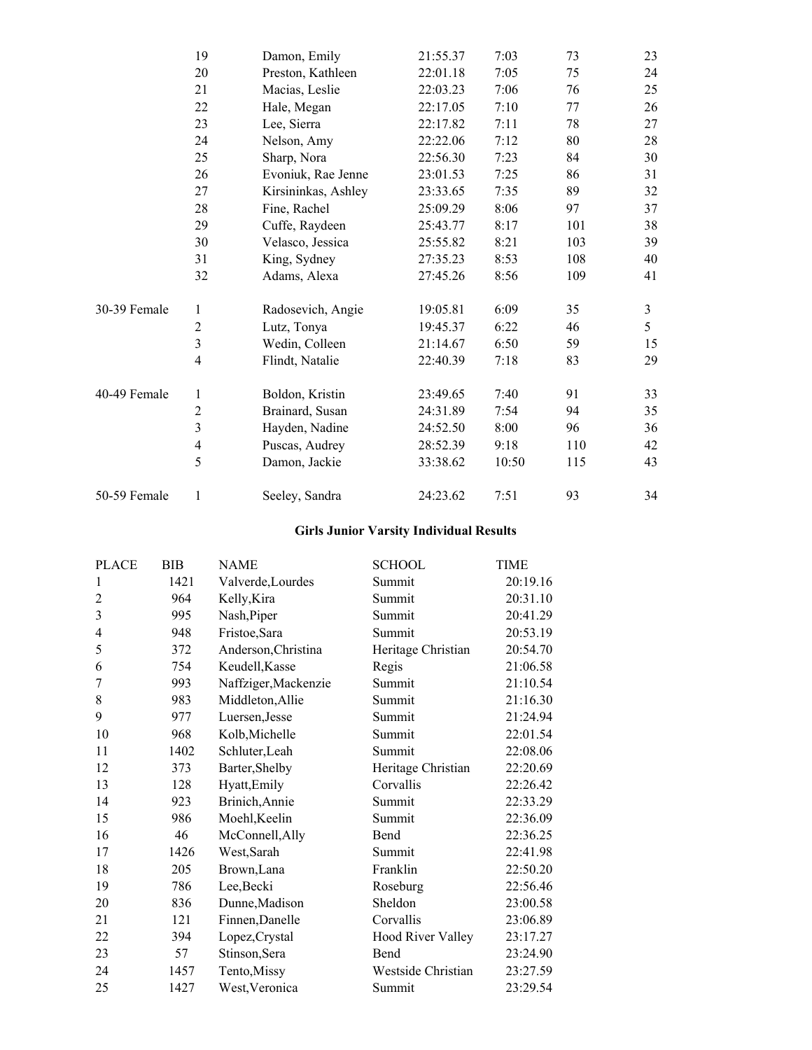|              | 19                       | Damon, Emily        | 21:55.37 | 7:03  | 73  | 23             |
|--------------|--------------------------|---------------------|----------|-------|-----|----------------|
|              | 20                       | Preston, Kathleen   | 22:01.18 | 7:05  | 75  | 24             |
|              | 21                       | Macias, Leslie      | 22:03.23 | 7:06  | 76  | 25             |
|              | 22                       | Hale, Megan         | 22:17.05 | 7:10  | 77  | 26             |
|              | 23                       | Lee, Sierra         | 22:17.82 | 7:11  | 78  | 27             |
|              | 24                       | Nelson, Amy         | 22:22.06 | 7:12  | 80  | 28             |
|              | 25                       | Sharp, Nora         | 22:56.30 | 7:23  | 84  | 30             |
|              | 26                       | Evoniuk, Rae Jenne  | 23:01.53 | 7:25  | 86  | 31             |
|              | 27                       | Kirsininkas, Ashley | 23:33.65 | 7:35  | 89  | 32             |
|              | 28                       | Fine, Rachel        | 25:09.29 | 8:06  | 97  | 37             |
|              | 29                       | Cuffe, Raydeen      | 25:43.77 | 8:17  | 101 | 38             |
|              | 30                       | Velasco, Jessica    | 25:55.82 | 8:21  | 103 | 39             |
|              | 31                       | King, Sydney        | 27:35.23 | 8:53  | 108 | 40             |
|              | 32                       | Adams, Alexa        | 27:45.26 | 8:56  | 109 | 41             |
| 30-39 Female | $\mathbf{1}$             | Radosevich, Angie   | 19:05.81 | 6:09  | 35  | $\mathfrak{Z}$ |
|              | $\overline{2}$           | Lutz, Tonya         | 19:45.37 | 6:22  | 46  | 5              |
|              | 3                        | Wedin, Colleen      | 21:14.67 | 6:50  | 59  | 15             |
|              | $\overline{\mathbf{4}}$  | Flindt, Natalie     | 22:40.39 | 7:18  | 83  | 29             |
| 40-49 Female | 1                        | Boldon, Kristin     | 23:49.65 | 7:40  | 91  | 33             |
|              | $\overline{2}$           | Brainard, Susan     | 24:31.89 | 7:54  | 94  | 35             |
|              | 3                        | Hayden, Nadine      | 24:52.50 | 8:00  | 96  | 36             |
|              | $\overline{\mathcal{A}}$ | Puscas, Audrey      | 28:52.39 | 9:18  | 110 | 42             |
|              | 5                        | Damon, Jackie       | 33:38.62 | 10:50 | 115 | 43             |
| 50-59 Female | 1                        | Seeley, Sandra      | 24:23.62 | 7:51  | 93  | 34             |

#### **Girls Junior Varsity Individual Results**

| <b>PLACE</b>   | BIB  | <b>NAME</b>          | <b>SCHOOL</b>            | <b>TIME</b> |
|----------------|------|----------------------|--------------------------|-------------|
| 1              | 1421 | Valverde, Lourdes    | Summit                   | 20:19.16    |
| 2              | 964  | Kelly, Kira          | Summit                   | 20:31.10    |
| 3              | 995  | Nash, Piper          | Summit                   | 20:41.29    |
| $\overline{4}$ | 948  | Fristoe, Sara        | Summit                   | 20:53.19    |
| 5              | 372  | Anderson, Christina  | Heritage Christian       | 20:54.70    |
| 6              | 754  | Keudell, Kasse       | Regis                    | 21:06.58    |
| 7              | 993  | Naffziger, Mackenzie | Summit                   | 21:10.54    |
| 8              | 983  | Middleton, Allie     | Summit                   | 21:16.30    |
| 9              | 977  | Luersen, Jesse       | Summit                   | 21:24.94    |
| 10             | 968  | Kolb, Michelle       | Summit                   | 22:01.54    |
| 11             | 1402 | Schluter, Leah       | Summit                   | 22:08.06    |
| 12             | 373  | Barter, Shelby       | Heritage Christian       | 22:20.69    |
| 13             | 128  | Hyatt, Emily         | Corvallis                | 22:26.42    |
| 14             | 923  | Brinich, Annie       | Summit                   | 22:33.29    |
| 15             | 986  | Moehl, Keelin        | Summit                   | 22:36.09    |
| 16             | 46   | McConnell, Ally      | Bend                     | 22:36.25    |
| 17             | 1426 | West, Sarah          | Summit                   | 22:41.98    |
| 18             | 205  | Brown, Lana          | Franklin                 | 22:50.20    |
| 19             | 786  | Lee, Becki           | Roseburg                 | 22:56.46    |
| 20             | 836  | Dunne, Madison       | Sheldon                  | 23:00.58    |
| 21             | 121  | Finnen, Danelle      | Corvallis                | 23:06.89    |
| 22             | 394  | Lopez, Crystal       | <b>Hood River Valley</b> | 23:17.27    |
| 23             | 57   | Stinson, Sera        | Bend                     | 23:24.90    |
| 24             | 1457 | Tento, Missy         | Westside Christian       | 23:27.59    |
| 25             | 1427 | West, Veronica       | Summit                   | 23:29.54    |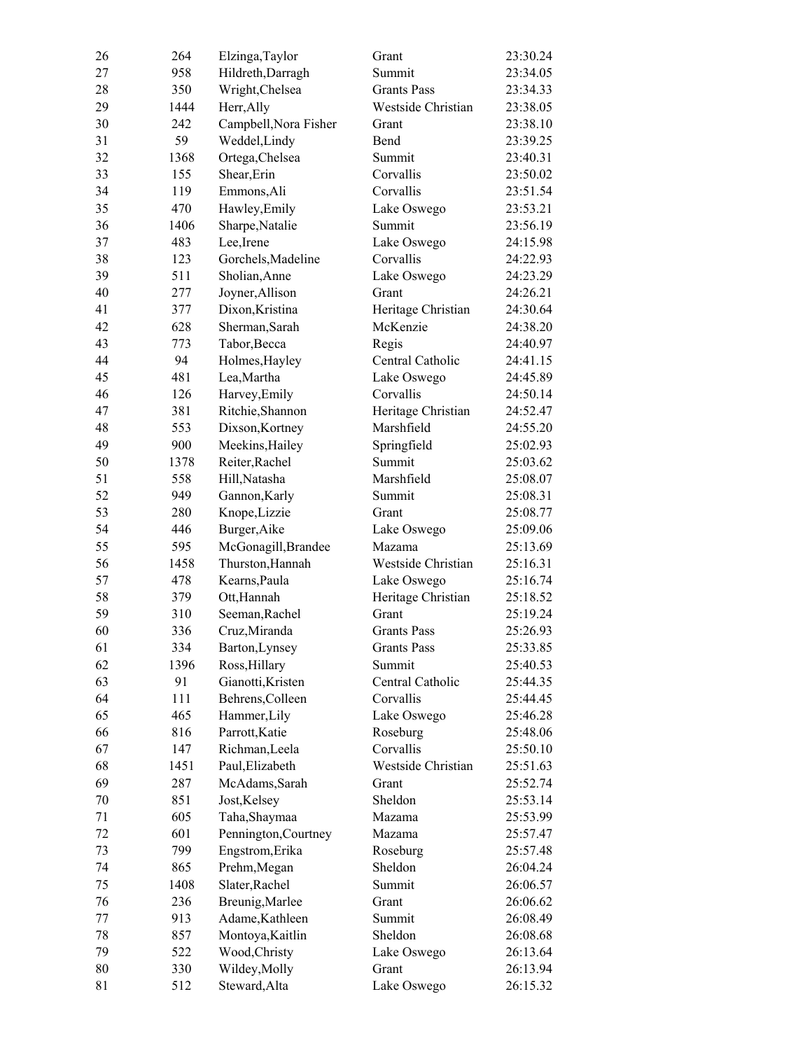| 26 | 264  | Elzinga, Taylor       | Grant              | 23:30.24 |
|----|------|-----------------------|--------------------|----------|
| 27 | 958  | Hildreth, Darragh     | Summit             | 23:34.05 |
| 28 | 350  | Wright, Chelsea       | <b>Grants Pass</b> | 23:34.33 |
| 29 | 1444 | Herr, Ally            | Westside Christian | 23:38.05 |
| 30 | 242  | Campbell, Nora Fisher | Grant              | 23:38.10 |
| 31 | 59   | Weddel, Lindy         | Bend               | 23:39.25 |
| 32 | 1368 | Ortega, Chelsea       | Summit             | 23:40.31 |
| 33 | 155  | Shear, Erin           | Corvallis          | 23:50.02 |
| 34 | 119  | Emmons, Ali           | Corvallis          | 23:51.54 |
| 35 | 470  | Hawley, Emily         | Lake Oswego        | 23:53.21 |
| 36 | 1406 | Sharpe, Natalie       | Summit             | 23:56.19 |
| 37 | 483  | Lee, Irene            | Lake Oswego        | 24:15.98 |
| 38 | 123  | Gorchels, Madeline    | Corvallis          | 24:22.93 |
| 39 | 511  | Sholian, Anne         | Lake Oswego        | 24:23.29 |
| 40 | 277  | Joyner, Allison       | Grant              | 24:26.21 |
| 41 | 377  | Dixon, Kristina       | Heritage Christian | 24:30.64 |
| 42 | 628  | Sherman, Sarah        | McKenzie           | 24:38.20 |
| 43 | 773  | Tabor, Becca          | Regis              | 24:40.97 |
| 44 | 94   | Holmes, Hayley        | Central Catholic   | 24:41.15 |
| 45 | 481  | Lea, Martha           | Lake Oswego        | 24:45.89 |
| 46 | 126  | Harvey, Emily         | Corvallis          | 24:50.14 |
| 47 | 381  | Ritchie, Shannon      | Heritage Christian | 24:52.47 |
| 48 | 553  | Dixson, Kortney       | Marshfield         | 24:55.20 |
| 49 | 900  | Meekins, Hailey       | Springfield        | 25:02.93 |
| 50 | 1378 | Reiter, Rachel        | Summit             | 25:03.62 |
| 51 | 558  | Hill, Natasha         | Marshfield         | 25:08.07 |
| 52 | 949  | Gannon, Karly         | Summit             | 25:08.31 |
| 53 | 280  | Knope, Lizzie         | Grant              | 25:08.77 |
| 54 | 446  | Burger, Aike          | Lake Oswego        | 25:09.06 |
| 55 | 595  | McGonagill, Brandee   | Mazama             | 25:13.69 |
| 56 | 1458 | Thurston, Hannah      | Westside Christian | 25:16.31 |
| 57 | 478  | Kearns, Paula         | Lake Oswego        | 25:16.74 |
| 58 | 379  | Ott, Hannah           | Heritage Christian | 25:18.52 |
| 59 | 310  | Seeman, Rachel        | Grant              | 25:19.24 |
| 60 | 336  | Cruz, Miranda         | <b>Grants Pass</b> | 25:26.93 |
| 61 | 334  | Barton, Lynsey        | <b>Grants Pass</b> | 25:33.85 |
| 62 | 1396 | Ross, Hillary         | Summit             | 25:40.53 |
| 63 | 91   | Gianotti, Kristen     | Central Catholic   | 25:44.35 |
| 64 | 111  | Behrens, Colleen      | Corvallis          | 25:44.45 |
| 65 | 465  | Hammer, Lily          | Lake Oswego        | 25:46.28 |
| 66 | 816  | Parrott, Katie        | Roseburg           | 25:48.06 |
| 67 | 147  | Richman, Leela        | Corvallis          | 25:50.10 |
| 68 | 1451 | Paul, Elizabeth       | Westside Christian | 25:51.63 |
| 69 | 287  | McAdams, Sarah        | Grant              | 25:52.74 |
| 70 | 851  | Jost, Kelsey          | Sheldon            | 25:53.14 |
| 71 | 605  | Taha, Shaymaa         | Mazama             | 25:53.99 |
| 72 | 601  | Pennington, Courtney  | Mazama             | 25:57.47 |
| 73 | 799  |                       |                    |          |
|    |      | Engstrom, Erika       | Roseburg           | 25:57.48 |
| 74 | 865  | Prehm, Megan          | Sheldon            | 26:04.24 |
| 75 | 1408 | Slater, Rachel        | Summit             | 26:06.57 |
| 76 | 236  | Breunig, Marlee       | Grant              | 26:06.62 |
| 77 | 913  | Adame, Kathleen       | Summit             | 26:08.49 |
| 78 | 857  | Montoya, Kaitlin      | Sheldon            | 26:08.68 |
| 79 | 522  | Wood, Christy         | Lake Oswego        | 26:13.64 |
| 80 | 330  | Wildey, Molly         | Grant              | 26:13.94 |
| 81 | 512  | Steward, Alta         | Lake Oswego        | 26:15.32 |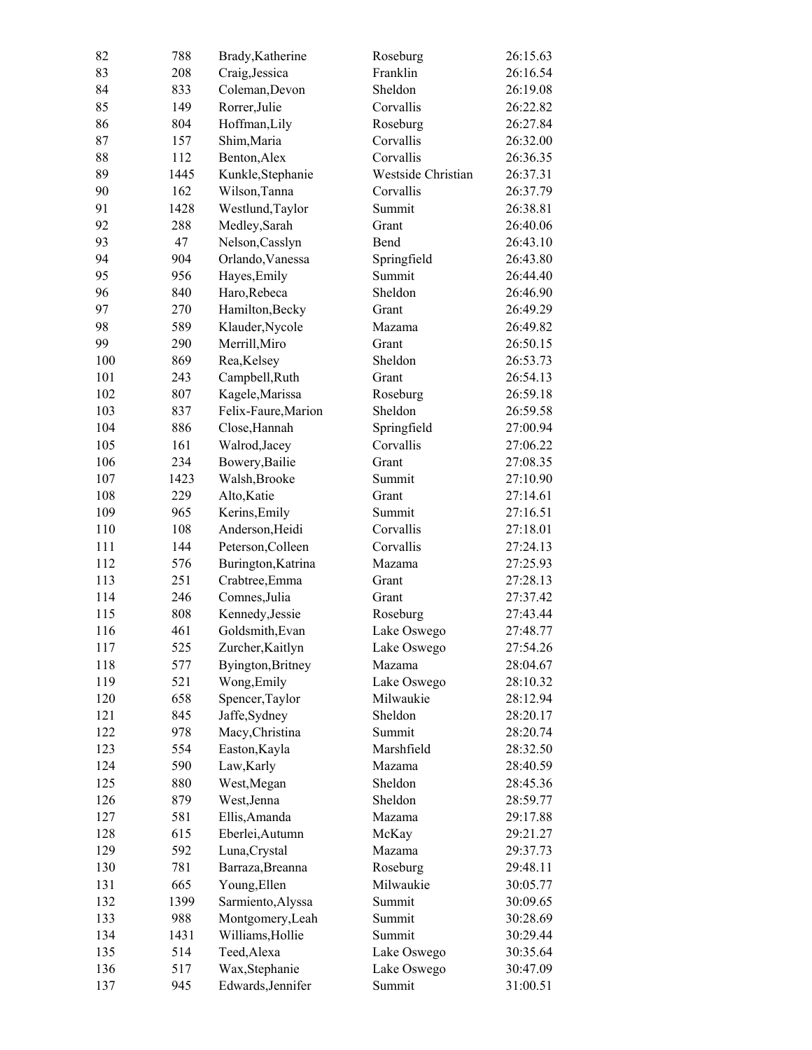| 82  | 788  | Brady, Katherine    | Roseburg           | 26:15.63 |
|-----|------|---------------------|--------------------|----------|
| 83  | 208  | Craig, Jessica      | Franklin           | 26:16.54 |
| 84  | 833  | Coleman, Devon      | Sheldon            | 26:19.08 |
| 85  | 149  | Rorrer, Julie       | Corvallis          | 26:22.82 |
| 86  | 804  | Hoffman, Lily       | Roseburg           | 26:27.84 |
| 87  | 157  | Shim, Maria         | Corvallis          | 26:32.00 |
| 88  | 112  | Benton, Alex        | Corvallis          | 26:36.35 |
| 89  | 1445 | Kunkle, Stephanie   | Westside Christian | 26:37.31 |
| 90  | 162  | Wilson, Tanna       | Corvallis          | 26:37.79 |
| 91  | 1428 | Westlund, Taylor    | Summit             | 26:38.81 |
| 92  | 288  | Medley, Sarah       | Grant              | 26:40.06 |
| 93  | 47   | Nelson, Casslyn     | Bend               | 26:43.10 |
| 94  | 904  | Orlando, Vanessa    | Springfield        | 26:43.80 |
| 95  | 956  | Hayes, Emily        | Summit             | 26:44.40 |
| 96  | 840  | Haro, Rebeca        | Sheldon            | 26:46.90 |
| 97  | 270  | Hamilton, Becky     | Grant              | 26:49.29 |
| 98  | 589  | Klauder, Nycole     | Mazama             | 26:49.82 |
| 99  | 290  | Merrill, Miro       | Grant              | 26:50.15 |
| 100 | 869  | Rea, Kelsey         | Sheldon            | 26:53.73 |
| 101 | 243  | Campbell, Ruth      | Grant              | 26:54.13 |
| 102 | 807  | Kagele, Marissa     | Roseburg           | 26:59.18 |
| 103 | 837  | Felix-Faure, Marion | Sheldon            | 26:59.58 |
| 104 | 886  | Close, Hannah       | Springfield        | 27:00.94 |
| 105 | 161  | Walrod, Jacey       | Corvallis          | 27:06.22 |
| 106 | 234  | Bowery, Bailie      | Grant              | 27:08.35 |
| 107 | 1423 | Walsh, Brooke       | Summit             | 27:10.90 |
| 108 | 229  | Alto, Katie         | Grant              | 27:14.61 |
| 109 | 965  | Kerins, Emily       | Summit             | 27:16.51 |
| 110 | 108  | Anderson, Heidi     | Corvallis          | 27:18.01 |
| 111 | 144  | Peterson, Colleen   | Corvallis          | 27:24.13 |
| 112 | 576  | Burington, Katrina  | Mazama             | 27:25.93 |
| 113 | 251  | Crabtree, Emma      | Grant              | 27:28.13 |
| 114 | 246  | Comnes, Julia       | Grant              | 27:37.42 |
| 115 | 808  | Kennedy, Jessie     | Roseburg           | 27:43.44 |
| 116 | 461  | Goldsmith, Evan     | Lake Oswego        | 27:48.77 |
| 117 | 525  | Zurcher, Kaitlyn    | Lake Oswego        | 27:54.26 |
| 118 | 577  | Byington, Britney   | Mazama             | 28:04.67 |
| 119 | 521  | Wong, Emily         | Lake Oswego        | 28:10.32 |
| 120 | 658  | Spencer, Taylor     | Milwaukie          | 28:12.94 |
| 121 | 845  | Jaffe, Sydney       | Sheldon            | 28:20.17 |
| 122 | 978  | Macy, Christina     | Summit             | 28:20.74 |
| 123 | 554  | Easton, Kayla       | Marshfield         | 28:32.50 |
| 124 | 590  | Law, Karly          | Mazama             | 28:40.59 |
| 125 | 880  | West, Megan         | Sheldon            | 28:45.36 |
| 126 | 879  | West, Jenna         | Sheldon            | 28:59.77 |
| 127 | 581  |                     | Mazama             | 29:17.88 |
|     |      | Ellis, Amanda       |                    |          |
| 128 | 615  | Eberlei, Autumn     | McKay              | 29:21.27 |
| 129 | 592  | Luna, Crystal       | Mazama             | 29:37.73 |
| 130 | 781  | Barraza, Breanna    | Roseburg           | 29:48.11 |
| 131 | 665  | Young, Ellen        | Milwaukie          | 30:05.77 |
| 132 | 1399 | Sarmiento, Alyssa   | Summit             | 30:09.65 |
| 133 | 988  | Montgomery, Leah    | Summit             | 30:28.69 |
| 134 | 1431 | Williams, Hollie    | Summit             | 30:29.44 |
| 135 | 514  | Teed, Alexa         | Lake Oswego        | 30:35.64 |
| 136 | 517  | Wax, Stephanie      | Lake Oswego        | 30:47.09 |
| 137 | 945  | Edwards, Jennifer   | Summit             | 31:00.51 |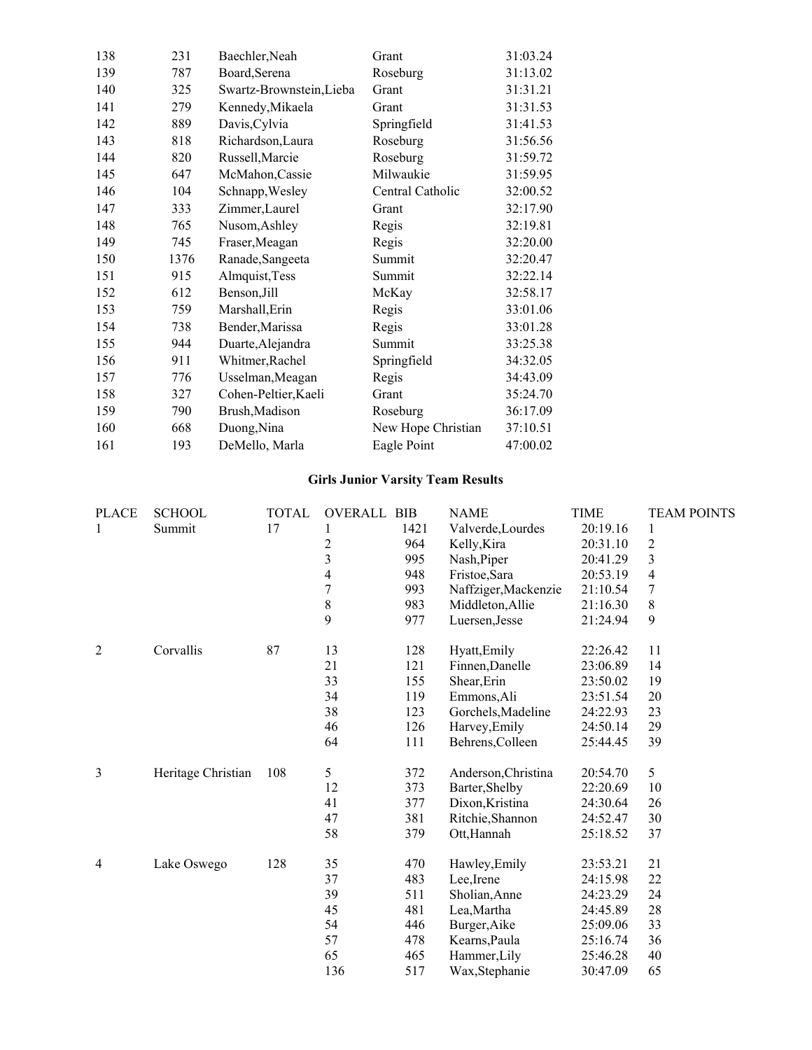| 138 | 231  | Baechler, Neah           | Grant              | 31:03.24 |
|-----|------|--------------------------|--------------------|----------|
| 139 | 787  | Board, Serena            | Roseburg           | 31:13.02 |
| 140 | 325  | Swartz-Brownstein, Lieba | Grant              | 31:31.21 |
| 141 | 279  | Kennedy, Mikaela         | Grant              | 31:31.53 |
| 142 | 889  | Davis, Cylvia            | Springfield        | 31:41.53 |
| 143 | 818  | Richardson, Laura        | Roseburg           | 31:56.56 |
| 144 | 820  | Russell, Marcie          | Roseburg           | 31:59.72 |
| 145 | 647  | McMahon, Cassie          | Milwaukie          | 31:59.95 |
| 146 | 104  | Schnapp, Wesley          | Central Catholic   | 32:00.52 |
| 147 | 333  | Zimmer, Laurel           | Grant              | 32:17.90 |
| 148 | 765  | Nusom, Ashley            | Regis              | 32:19.81 |
| 149 | 745  | Fraser, Meagan           | Regis              | 32:20.00 |
| 150 | 1376 | Ranade, Sangeeta         | Summit             | 32:20.47 |
| 151 | 915  | Almquist, Tess           | Summit             | 32:22.14 |
| 152 | 612  | Benson, Jill             | McKay              | 32:58.17 |
| 153 | 759  | Marshall, Erin           | Regis              | 33:01.06 |
| 154 | 738  | Bender, Marissa          | Regis              | 33:01.28 |
| 155 | 944  | Duarte, Alejandra        | Summit             | 33:25.38 |
| 156 | 911  | Whitmer, Rachel          | Springfield        | 34:32.05 |
| 157 | 776  | Usselman, Meagan         | Regis              | 34:43.09 |
| 158 | 327  | Cohen-Peltier, Kaeli     | Grant              | 35:24.70 |
| 159 | 790  | Brush, Madison           | Roseburg           | 36:17.09 |
| 160 | 668  | Duong, Nina              | New Hope Christian | 37:10.51 |
| 161 | 193  | DeMello, Marla           | Eagle Point        | 47:00.02 |

#### **Girls Junior Varsity Team Results**

| <b>PLACE</b>   | <b>SCHOOL</b>      | <b>TOTAL</b> | <b>OVERALL BIB</b>      |      | <b>NAME</b>          | <b>TIME</b> | <b>TEAM POINTS</b> |
|----------------|--------------------|--------------|-------------------------|------|----------------------|-------------|--------------------|
| $\mathbf{1}$   | Summit             | 17           | 1                       | 1421 | Valverde, Lourdes    | 20:19.16    | $\mathbf{1}$       |
|                |                    |              | $\overline{\mathbf{c}}$ | 964  | Kelly, Kira          | 20:31.10    | $\sqrt{2}$         |
|                |                    |              | $\overline{\mathbf{3}}$ | 995  | Nash, Piper          | 20:41.29    | 3                  |
|                |                    |              | 4                       | 948  | Fristoe, Sara        | 20:53.19    | $\overline{4}$     |
|                |                    |              | $\overline{7}$          | 993  | Naffziger, Mackenzie | 21:10.54    | 7                  |
|                |                    |              | 8                       | 983  | Middleton, Allie     | 21:16.30    | 8                  |
|                |                    |              | 9                       | 977  | Luersen, Jesse       | 21:24.94    | 9                  |
| $\overline{2}$ | Corvallis          | 87           | 13                      | 128  | Hyatt, Emily         | 22:26.42    | 11                 |
|                |                    |              | 21                      | 121  | Finnen, Danelle      | 23:06.89    | 14                 |
|                |                    |              | 33                      | 155  | Shear, Erin          | 23:50.02    | 19                 |
|                |                    |              | 34                      | 119  | Emmons, Ali          | 23:51.54    | 20                 |
|                |                    |              | 38                      | 123  | Gorchels, Madeline   | 24:22.93    | 23                 |
|                |                    |              | 46                      | 126  | Harvey, Emily        | 24:50.14    | 29                 |
|                |                    |              | 64                      | 111  | Behrens, Colleen     | 25:44.45    | 39                 |
| 3              | Heritage Christian | 108          | 5                       | 372  | Anderson, Christina  | 20:54.70    | 5                  |
|                |                    |              | 12                      | 373  | Barter, Shelby       | 22:20.69    | 10                 |
|                |                    |              | 41                      | 377  | Dixon, Kristina      | 24:30.64    | 26                 |
|                |                    |              | 47                      | 381  | Ritchie, Shannon     | 24:52.47    | 30                 |
|                |                    |              | 58                      | 379  | Ott, Hannah          | 25:18.52    | 37                 |
| $\overline{4}$ | Lake Oswego        | 128          | 35                      | 470  | Hawley, Emily        | 23:53.21    | 21                 |
|                |                    |              | 37                      | 483  | Lee, Irene           | 24:15.98    | 22                 |
|                |                    |              | 39                      | 511  | Sholian, Anne        | 24:23.29    | 24                 |
|                |                    |              | 45                      | 481  | Lea, Martha          | 24:45.89    | 28                 |
|                |                    |              | 54                      | 446  | Burger, Aike         | 25:09.06    | 33                 |
|                |                    |              | 57                      | 478  | Kearns, Paula        | 25:16.74    | 36                 |
|                |                    |              | 65                      | 465  | Hammer, Lily         | 25:46.28    | 40                 |
|                |                    |              | 136                     | 517  | Wax, Stephanie       | 30:47.09    | 65                 |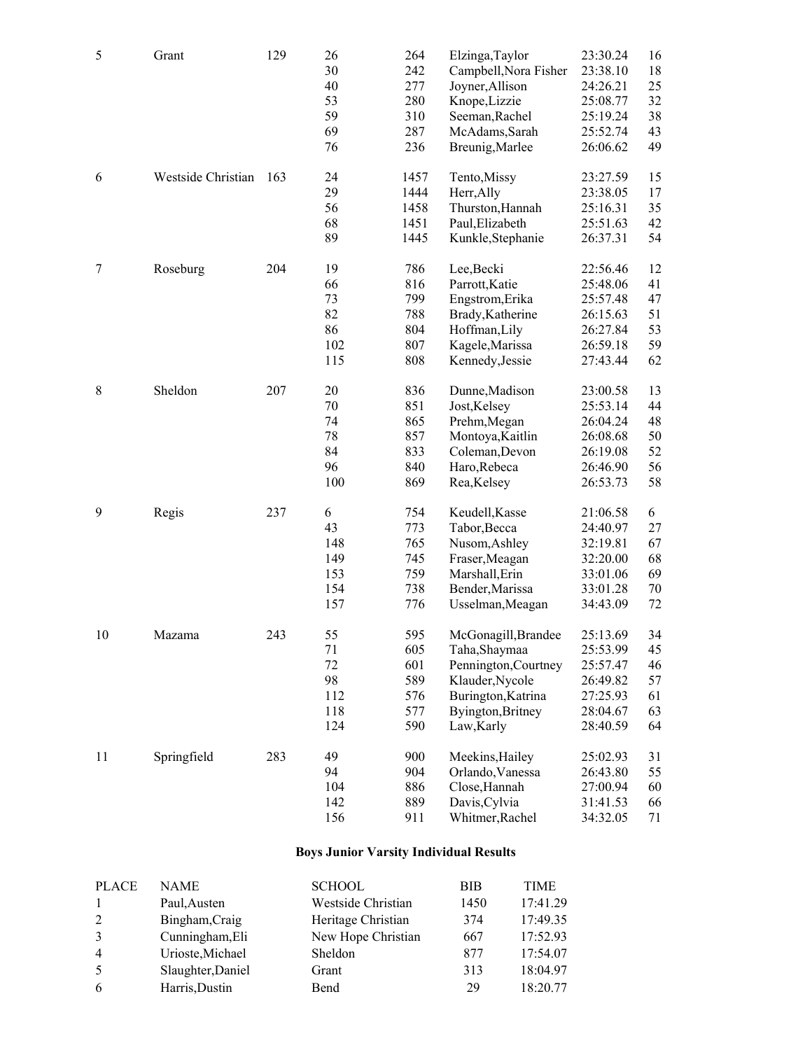| 5  | Grant              | 129 | 26<br>30 | 264<br>242 | Elzinga, Taylor<br>Campbell, Nora Fisher | 23:30.24<br>23:38.10 | 16<br>18 |
|----|--------------------|-----|----------|------------|------------------------------------------|----------------------|----------|
|    |                    |     | 40       | 277        | Joyner, Allison                          | 24:26.21             | 25       |
|    |                    |     | 53       | 280        | Knope, Lizzie                            | 25:08.77             | 32       |
|    |                    |     | 59       | 310        | Seeman, Rachel                           | 25:19.24             | 38       |
|    |                    |     | 69       | 287        | McAdams, Sarah                           | 25:52.74             | 43       |
|    |                    |     | 76       | 236        | Breunig, Marlee                          | 26:06.62             | 49       |
| 6  | Westside Christian | 163 | 24       | 1457       | Tento, Missy                             | 23:27.59             | 15       |
|    |                    |     | 29       | 1444       | Herr, Ally                               | 23:38.05             | 17       |
|    |                    |     | 56       | 1458       | Thurston, Hannah                         | 25:16.31             | 35       |
|    |                    |     | 68       | 1451       | Paul, Elizabeth                          | 25:51.63             | 42       |
|    |                    |     | 89       | 1445       | Kunkle, Stephanie                        | 26:37.31             | 54       |
| 7  | Roseburg           | 204 | 19       | 786        | Lee, Becki                               | 22:56.46             | 12       |
|    |                    |     | 66       | 816        | Parrott, Katie                           | 25:48.06             | 41       |
|    |                    |     | 73       | 799        | Engstrom, Erika                          | 25:57.48             | 47       |
|    |                    |     | 82       | 788        | Brady, Katherine                         | 26:15.63             | 51       |
|    |                    |     | 86       | 804        | Hoffman, Lily                            | 26:27.84             | 53       |
|    |                    |     | 102      | 807        | Kagele, Marissa                          | 26:59.18             | 59       |
|    |                    |     | 115      | 808        | Kennedy, Jessie                          | 27:43.44             | 62       |
| 8  | Sheldon            | 207 | 20       | 836        | Dunne, Madison                           | 23:00.58             | 13       |
|    |                    |     | 70       | 851        | Jost, Kelsey                             | 25:53.14             | 44       |
|    |                    |     | 74       | 865        | Prehm, Megan                             | 26:04.24             | 48       |
|    |                    |     | 78       | 857        | Montoya, Kaitlin                         | 26:08.68             | 50       |
|    |                    |     | 84       | 833        | Coleman, Devon                           | 26:19.08             | 52       |
|    |                    |     | 96       | 840        | Haro, Rebeca                             | 26:46.90             | 56       |
|    |                    |     | 100      | 869        | Rea, Kelsey                              | 26:53.73             | 58       |
| 9  | Regis              | 237 | 6        | 754        | Keudell, Kasse                           | 21:06.58             | 6        |
|    |                    |     | 43       | 773        | Tabor, Becca                             | 24:40.97             | 27       |
|    |                    |     | 148      | 765        | Nusom, Ashley                            | 32:19.81             | 67       |
|    |                    |     | 149      | 745        | Fraser, Meagan                           | 32:20.00             | 68       |
|    |                    |     | 153      | 759        | Marshall, Erin                           | 33:01.06             | 69       |
|    |                    |     | 154      | 738        | Bender, Marissa                          | 33:01.28             | 70       |
|    |                    |     | 157      | 776        | Usselman, Meagan                         | 34:43.09             | 72       |
| 10 | Mazama             | 243 | 55       | 595        | McGonagill, Brandee                      | 25:13.69             | 34       |
|    |                    |     | 71       | 605        | Taha, Shaymaa                            | 25:53.99             | 45       |
|    |                    |     | 72       | 601        | Pennington, Courtney                     | 25:57.47             | 46       |
|    |                    |     | 98       | 589        | Klauder, Nycole                          | 26:49.82             | 57       |
|    |                    |     | 112      | 576        | Burington, Katrina                       | 27:25.93             | 61       |
|    |                    |     | 118      | 577        | Byington, Britney                        | 28:04.67             | 63       |
|    |                    |     | 124      | 590        | Law, Karly                               | 28:40.59             | 64       |
| 11 | Springfield        | 283 | 49       | 900        | Meekins, Hailey                          | 25:02.93             | 31       |
|    |                    |     | 94       | 904        | Orlando, Vanessa                         | 26:43.80             | 55       |
|    |                    |     | 104      | 886        | Close, Hannah                            | 27:00.94             | 60       |
|    |                    |     | 142      | 889        | Davis, Cylvia                            | 31:41.53             | 66       |
|    |                    |     | 156      | 911        | Whitmer, Rachel                          | 34:32.05             | 71       |

## **Boys Junior Varsity Individual Results**

| <b>PLACE</b>   | <b>NAME</b>       | <b>SCHOOL</b>      | <b>BIB</b> | <b>TIME</b> |
|----------------|-------------------|--------------------|------------|-------------|
|                | Paul, Austen      | Westside Christian | 1450       | 17:41.29    |
|                | Bingham, Craig    | Heritage Christian | 374        | 17:49.35    |
|                | Cunningham, Eli   | New Hope Christian | 667        | 17:52.93    |
| $\overline{4}$ | Urioste, Michael  | Sheldon            | 877        | 17:54.07    |
|                | Slaughter, Daniel | Grant              | 313        | 18:04.97    |
| 6              | Harris, Dustin    | Bend               | 29         | 18:20.77    |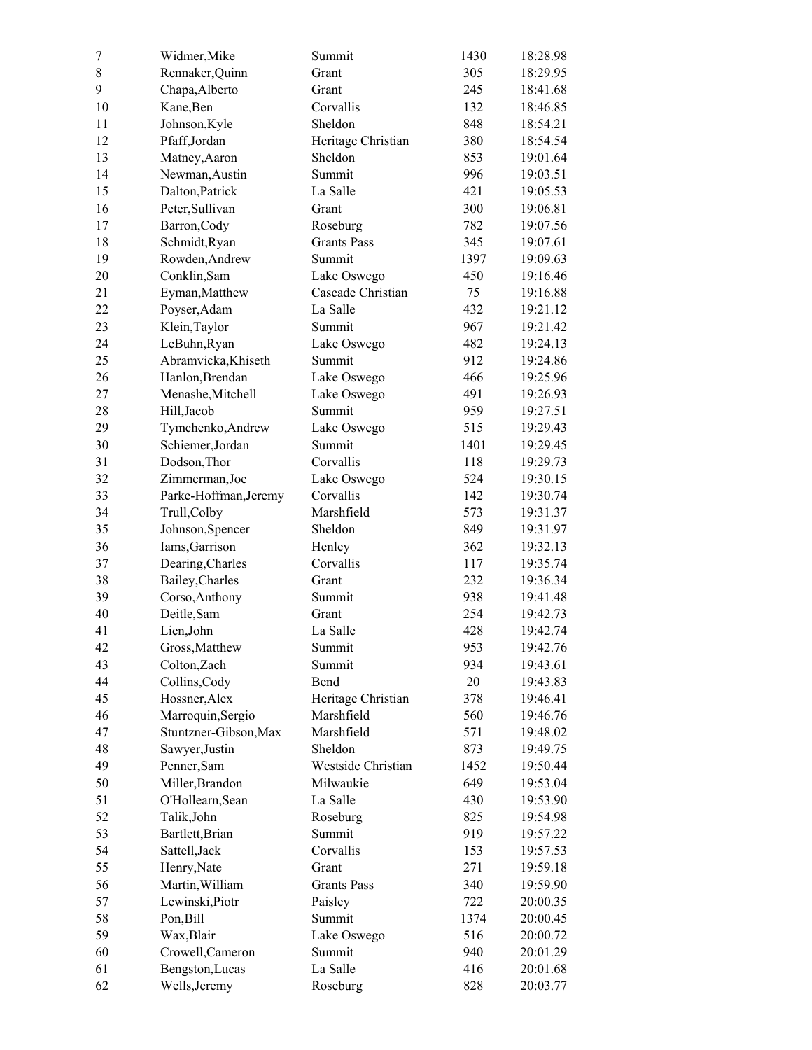| 7         | Widmer, Mike          | Summit             | 1430 | 18:28.98 |
|-----------|-----------------------|--------------------|------|----------|
| $\,$ $\,$ | Rennaker, Quinn       | Grant              | 305  | 18:29.95 |
| 9         | Chapa, Alberto        | Grant              | 245  | 18:41.68 |
| 10        | Kane, Ben             | Corvallis          | 132  | 18:46.85 |
| 11        | Johnson, Kyle         | Sheldon            | 848  | 18:54.21 |
| 12        | Pfaff,Jordan          | Heritage Christian | 380  | 18:54.54 |
| 13        | Matney, Aaron         | Sheldon            | 853  | 19:01.64 |
| 14        | Newman, Austin        | Summit             | 996  | 19:03.51 |
| 15        | Dalton, Patrick       | La Salle           | 421  | 19:05.53 |
| 16        | Peter, Sullivan       | Grant              | 300  | 19:06.81 |
| 17        | Barron, Cody          | Roseburg           | 782  | 19:07.56 |
| 18        | Schmidt, Ryan         | <b>Grants Pass</b> | 345  | 19:07.61 |
| 19        | Rowden, Andrew        | Summit             | 1397 | 19:09.63 |
| 20        | Conklin, Sam          | Lake Oswego        | 450  | 19:16.46 |
| 21        |                       | Cascade Christian  | 75   | 19:16.88 |
|           | Eyman, Matthew        |                    |      |          |
| 22        | Poyser, Adam          | La Salle           | 432  | 19:21.12 |
| 23        | Klein, Taylor         | Summit             | 967  | 19:21.42 |
| 24        | LeBuhn, Ryan          | Lake Oswego        | 482  | 19:24.13 |
| 25        | Abramvicka, Khiseth   | Summit             | 912  | 19:24.86 |
| 26        | Hanlon, Brendan       | Lake Oswego        | 466  | 19:25.96 |
| 27        | Menashe, Mitchell     | Lake Oswego        | 491  | 19:26.93 |
| 28        | Hill, Jacob           | Summit             | 959  | 19:27.51 |
| 29        | Tymchenko, Andrew     | Lake Oswego        | 515  | 19:29.43 |
| 30        | Schiemer, Jordan      | Summit             | 1401 | 19:29.45 |
| 31        | Dodson, Thor          | Corvallis          | 118  | 19:29.73 |
| 32        | Zimmerman, Joe        | Lake Oswego        | 524  | 19:30.15 |
| 33        | Parke-Hoffman, Jeremy | Corvallis          | 142  | 19:30.74 |
| 34        | Trull, Colby          | Marshfield         | 573  | 19:31.37 |
| 35        | Johnson, Spencer      | Sheldon            | 849  | 19:31.97 |
| 36        | Iams, Garrison        | Henley             | 362  | 19:32.13 |
| 37        | Dearing, Charles      | Corvallis          | 117  | 19:35.74 |
| 38        | Bailey, Charles       | Grant              | 232  | 19:36.34 |
| 39        | Corso, Anthony        | Summit             | 938  | 19:41.48 |
| 40        | Deitle, Sam           | Grant              | 254  | 19:42.73 |
| 41        | Lien, John            | La Salle           | 428  | 19:42.74 |
| 42        | Gross, Matthew        | Summit             | 953  | 19:42.76 |
| 43        | Colton, Zach          | Summit             | 934  | 19:43.61 |
| 44        | Collins, Cody         | Bend               | 20   | 19:43.83 |
| 45        | Hossner, Alex         | Heritage Christian | 378  | 19:46.41 |
| 46        | Marroquin, Sergio     | Marshfield         | 560  | 19:46.76 |
| 47        | Stuntzner-Gibson, Max | Marshfield         | 571  | 19:48.02 |
| 48        | Sawyer, Justin        | Sheldon            | 873  | 19:49.75 |
| 49        | Penner, Sam           | Westside Christian | 1452 | 19:50.44 |
| 50        | Miller, Brandon       | Milwaukie          | 649  | 19:53.04 |
| 51        | O'Hollearn, Sean      | La Salle           | 430  | 19:53.90 |
| 52        |                       |                    | 825  | 19:54.98 |
|           | Talik, John           | Roseburg<br>Summit |      |          |
| 53        | Bartlett, Brian       |                    | 919  | 19:57.22 |
| 54        | Sattell, Jack         | Corvallis          | 153  | 19:57.53 |
| 55        | Henry, Nate           | Grant              | 271  | 19:59.18 |
| 56        | Martin, William       | <b>Grants Pass</b> | 340  | 19:59.90 |
| 57        | Lewinski, Piotr       | Paisley            | 722  | 20:00.35 |
| 58        | Pon, Bill             | Summit             | 1374 | 20:00.45 |
| 59        | Wax, Blair            | Lake Oswego        | 516  | 20:00.72 |
| 60        | Crowell, Cameron      | Summit             | 940  | 20:01.29 |
| 61        | Bengston, Lucas       | La Salle           | 416  | 20:01.68 |
| 62        | Wells, Jeremy         | Roseburg           | 828  | 20:03.77 |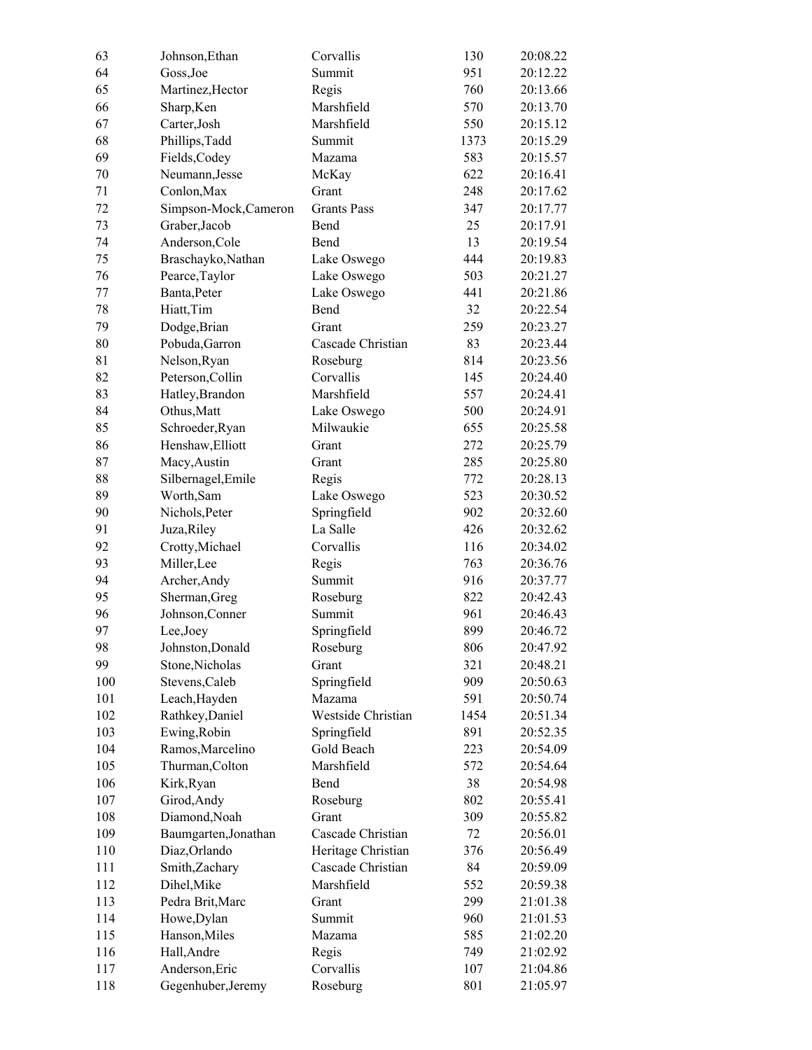| 63  | Johnson, Ethan        | Corvallis          | 130  | 20:08.22 |
|-----|-----------------------|--------------------|------|----------|
| 64  | Goss, Joe             | Summit             | 951  | 20:12.22 |
| 65  | Martinez, Hector      | Regis              | 760  | 20:13.66 |
| 66  | Sharp, Ken            | Marshfield         | 570  | 20:13.70 |
| 67  | Carter, Josh          | Marshfield         | 550  | 20:15.12 |
| 68  | Phillips, Tadd        | Summit             | 1373 | 20:15.29 |
| 69  | Fields, Codey         | Mazama             | 583  | 20:15.57 |
| 70  | Neumann, Jesse        | McKay              | 622  | 20:16.41 |
| 71  | Conlon, Max           | Grant              | 248  | 20:17.62 |
| 72  | Simpson-Mock, Cameron | <b>Grants Pass</b> | 347  | 20:17.77 |
| 73  | Graber, Jacob         | Bend               | 25   | 20:17.91 |
| 74  | Anderson, Cole        | Bend               | 13   | 20:19.54 |
| 75  | Braschayko, Nathan    | Lake Oswego        | 444  | 20:19.83 |
| 76  | Pearce, Taylor        | Lake Oswego        | 503  | 20:21.27 |
| 77  | Banta, Peter          | Lake Oswego        | 441  | 20:21.86 |
| 78  | Hiatt, Tim            | Bend               | 32   | 20:22.54 |
| 79  | Dodge, Brian          | Grant              | 259  | 20:23.27 |
| 80  | Pobuda, Garron        | Cascade Christian  | 83   | 20:23.44 |
| 81  | Nelson, Ryan          | Roseburg           | 814  | 20:23.56 |
| 82  | Peterson, Collin      | Corvallis          | 145  | 20:24.40 |
| 83  | Hatley, Brandon       | Marshfield         | 557  | 20:24.41 |
| 84  | Othus, Matt           | Lake Oswego        | 500  | 20:24.91 |
| 85  | Schroeder, Ryan       | Milwaukie          | 655  | 20:25.58 |
| 86  | Henshaw, Elliott      | Grant              | 272  | 20:25.79 |
| 87  | Macy, Austin          | Grant              | 285  | 20:25.80 |
| 88  | Silbernagel, Emile    | Regis              | 772  | 20:28.13 |
| 89  | Worth, Sam            | Lake Oswego        | 523  | 20:30.52 |
| 90  | Nichols, Peter        | Springfield        | 902  | 20:32.60 |
| 91  | Juza, Riley           | La Salle           | 426  | 20:32.62 |
| 92  | Crotty, Michael       | Corvallis          | 116  | 20:34.02 |
| 93  | Miller, Lee           | Regis              | 763  | 20:36.76 |
| 94  | Archer, Andy          | Summit             | 916  | 20:37.77 |
| 95  | Sherman, Greg         | Roseburg           | 822  | 20:42.43 |
| 96  | Johnson, Conner       | Summit             | 961  | 20:46.43 |
| 97  | Lee, Joey             | Springfield        | 899  | 20:46.72 |
| 98  | Johnston, Donald      | Roseburg           | 806  | 20:47.92 |
| 99  | Stone, Nicholas       | Grant              | 321  | 20:48.21 |
| 100 | Stevens, Caleb        | Springfield        | 909  | 20:50.63 |
| 101 | Leach, Hayden         | Mazama             | 591  | 20:50.74 |
| 102 | Rathkey, Daniel       | Westside Christian | 1454 | 20:51.34 |
| 103 | Ewing, Robin          | Springfield        | 891  | 20:52.35 |
| 104 | Ramos, Marcelino      | Gold Beach         | 223  | 20:54.09 |
| 105 | Thurman, Colton       | Marshfield         | 572  | 20:54.64 |
| 106 | Kirk, Ryan            | Bend               | 38   | 20:54.98 |
| 107 | Girod, Andy           | Roseburg           | 802  | 20:55.41 |
| 108 | Diamond, Noah         | Grant              | 309  | 20:55.82 |
| 109 | Baumgarten, Jonathan  | Cascade Christian  | 72   | 20:56.01 |
| 110 | Diaz, Orlando         | Heritage Christian | 376  | 20:56.49 |
| 111 | Smith, Zachary        | Cascade Christian  | 84   | 20:59.09 |
| 112 | Dihel, Mike           | Marshfield         | 552  | 20:59.38 |
| 113 | Pedra Brit, Marc      | Grant              | 299  | 21:01.38 |
| 114 | Howe, Dylan           | Summit             | 960  | 21:01.53 |
| 115 | Hanson, Miles         | Mazama             | 585  | 21:02.20 |
| 116 | Hall, Andre           | Regis              | 749  | 21:02.92 |
| 117 | Anderson, Eric        | Corvallis          | 107  | 21:04.86 |
| 118 | Gegenhuber, Jeremy    | Roseburg           | 801  | 21:05.97 |
|     |                       |                    |      |          |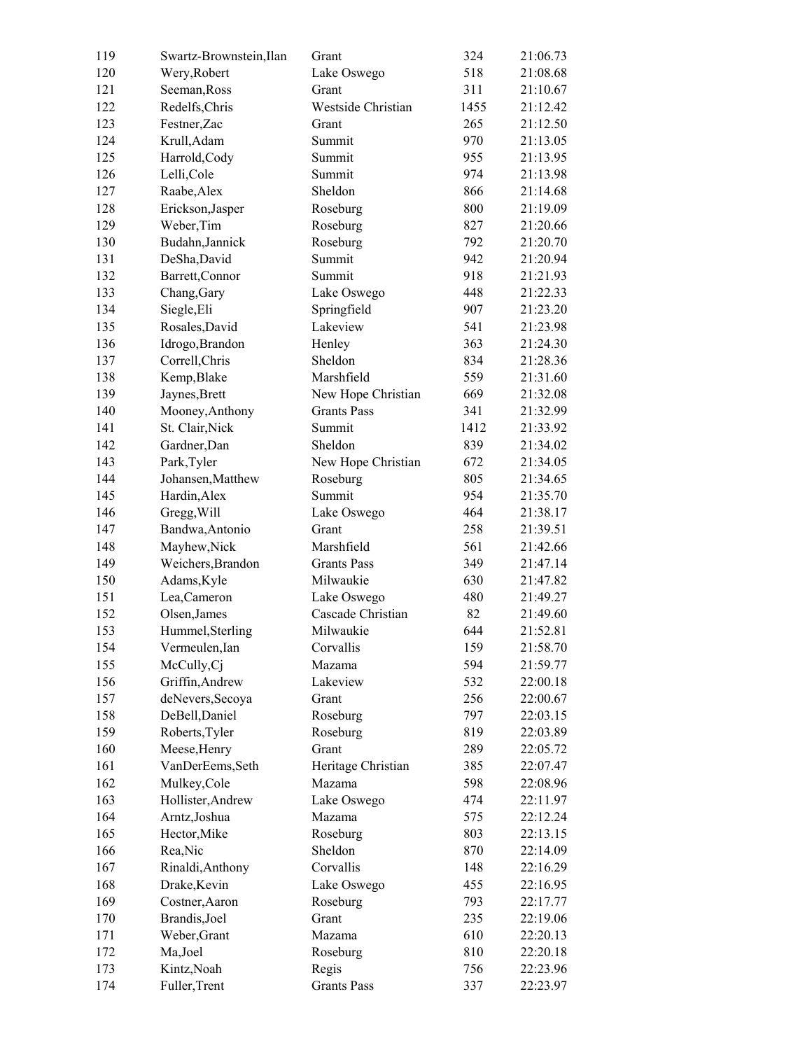| 119 | Swartz-Brownstein, Ilan | Grant              | 324  | 21:06.73 |
|-----|-------------------------|--------------------|------|----------|
| 120 | Wery, Robert            | Lake Oswego        | 518  | 21:08.68 |
| 121 | Seeman, Ross            | Grant              | 311  | 21:10.67 |
| 122 | Redelfs, Chris          | Westside Christian | 1455 | 21:12.42 |
| 123 | Festner, Zac            | Grant              | 265  | 21:12.50 |
| 124 | Krull, Adam             | Summit             | 970  | 21:13.05 |
| 125 | Harrold, Cody           | Summit             | 955  | 21:13.95 |
| 126 | Lelli, Cole             | Summit             | 974  | 21:13.98 |
| 127 | Raabe, Alex             | Sheldon            | 866  | 21:14.68 |
| 128 | Erickson, Jasper        | Roseburg           | 800  | 21:19.09 |
| 129 | Weber, Tim              | Roseburg           | 827  | 21:20.66 |
| 130 | Budahn, Jannick         | Roseburg           | 792  | 21:20.70 |
| 131 | DeSha, David            | Summit             | 942  | 21:20.94 |
| 132 | Barrett, Connor         | Summit             | 918  | 21:21.93 |
| 133 | Chang, Gary             | Lake Oswego        | 448  | 21:22.33 |
| 134 | Siegle, Eli             | Springfield        | 907  | 21:23.20 |
| 135 | Rosales, David          | Lakeview           | 541  | 21:23.98 |
| 136 | Idrogo, Brandon         | Henley             | 363  | 21:24.30 |
| 137 | Correll, Chris          | Sheldon            | 834  | 21:28.36 |
| 138 | Kemp, Blake             | Marshfield         | 559  | 21:31.60 |
| 139 | Jaynes, Brett           | New Hope Christian | 669  | 21:32.08 |
| 140 | Mooney, Anthony         | <b>Grants Pass</b> | 341  | 21:32.99 |
| 141 | St. Clair, Nick         | Summit             | 1412 | 21:33.92 |
| 142 | Gardner, Dan            | Sheldon            | 839  | 21:34.02 |
| 143 | Park, Tyler             | New Hope Christian | 672  | 21:34.05 |
| 144 | Johansen, Matthew       | Roseburg           | 805  | 21:34.65 |
| 145 | Hardin, Alex            | Summit             | 954  | 21:35.70 |
| 146 | Gregg, Will             | Lake Oswego        | 464  | 21:38.17 |
| 147 | Bandwa, Antonio         | Grant              | 258  | 21:39.51 |
| 148 | Mayhew, Nick            | Marshfield         | 561  | 21:42.66 |
| 149 | Weichers, Brandon       | <b>Grants Pass</b> | 349  | 21:47.14 |
| 150 | Adams, Kyle             | Milwaukie          | 630  | 21:47.82 |
| 151 | Lea, Cameron            | Lake Oswego        | 480  | 21:49.27 |
| 152 | Olsen, James            | Cascade Christian  | 82   | 21:49.60 |
| 153 | Hummel, Sterling        | Milwaukie          | 644  | 21:52.81 |
| 154 | Vermeulen, Ian          | Corvallis          | 159  | 21:58.70 |
| 155 | McCully, Cj             | Mazama             | 594  | 21:59.77 |
| 156 | Griffin, Andrew         | Lakeview           | 532  | 22:00.18 |
| 157 | deNevers, Secoya        | Grant              | 256  | 22:00.67 |
| 158 | DeBell, Daniel          | Roseburg           | 797  | 22:03.15 |
| 159 | Roberts, Tyler          | Roseburg           | 819  | 22:03.89 |
| 160 | Meese, Henry            | Grant              | 289  | 22:05.72 |
| 161 | VanDerEems, Seth        | Heritage Christian | 385  | 22:07.47 |
| 162 | Mulkey, Cole            | Mazama             | 598  | 22:08.96 |
| 163 | Hollister, Andrew       | Lake Oswego        | 474  | 22:11.97 |
| 164 | Arntz, Joshua           | Mazama             | 575  | 22:12.24 |
| 165 | Hector, Mike            | Roseburg           | 803  | 22:13.15 |
| 166 | Rea, Nic                | Sheldon            | 870  | 22:14.09 |
| 167 | Rinaldi, Anthony        | Corvallis          | 148  | 22:16.29 |
| 168 | Drake, Kevin            | Lake Oswego        | 455  | 22:16.95 |
| 169 | Costner, Aaron          | Roseburg           | 793  | 22:17.77 |
| 170 | Brandis, Joel           | Grant              | 235  | 22:19.06 |
| 171 | Weber, Grant            | Mazama             | 610  | 22:20.13 |
| 172 | Ma,Joel                 | Roseburg           | 810  | 22:20.18 |
| 173 | Kintz, Noah             | Regis              | 756  | 22:23.96 |
| 174 | Fuller, Trent           | <b>Grants Pass</b> | 337  | 22:23.97 |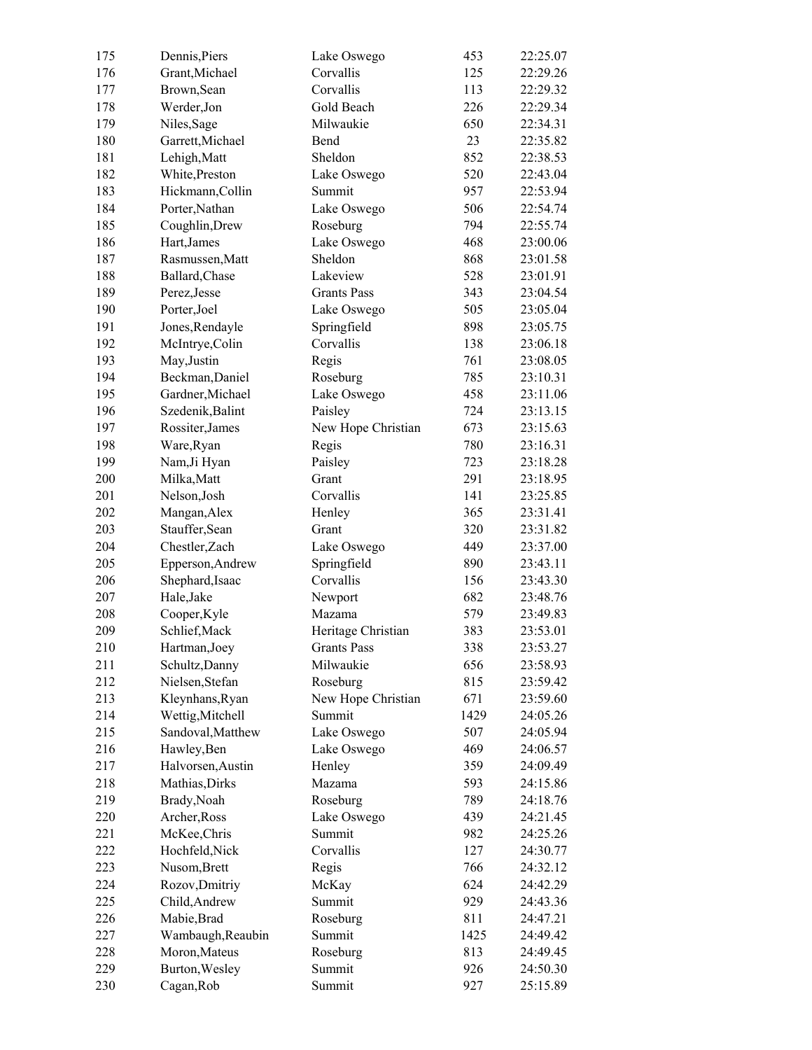| 175        | Dennis, Piers     | Lake Oswego        | 453  | 22:25.07 |
|------------|-------------------|--------------------|------|----------|
| 176        | Grant, Michael    | Corvallis          | 125  | 22:29.26 |
| 177        | Brown, Sean       | Corvallis          | 113  | 22:29.32 |
| 178        | Werder, Jon       | Gold Beach         | 226  | 22:29.34 |
| 179        | Niles, Sage       | Milwaukie          | 650  | 22:34.31 |
| 180        | Garrett, Michael  | Bend               | 23   | 22:35.82 |
| 181        | Lehigh, Matt      | Sheldon            | 852  | 22:38.53 |
| 182        | White, Preston    | Lake Oswego        | 520  | 22:43.04 |
| 183        | Hickmann, Collin  | Summit             | 957  | 22:53.94 |
| 184        | Porter, Nathan    | Lake Oswego        | 506  | 22:54.74 |
| 185        | Coughlin, Drew    | Roseburg           | 794  | 22:55.74 |
| 186        | Hart, James       | Lake Oswego        | 468  | 23:00.06 |
| 187        | Rasmussen, Matt   | Sheldon            | 868  | 23:01.58 |
| 188        | Ballard, Chase    | Lakeview           | 528  | 23:01.91 |
| 189        | Perez, Jesse      | <b>Grants Pass</b> | 343  | 23:04.54 |
| 190        | Porter, Joel      | Lake Oswego        | 505  | 23:05.04 |
| 191        | Jones, Rendayle   | Springfield        | 898  | 23:05.75 |
| 192        | McIntrye, Colin   | Corvallis          | 138  | 23:06.18 |
| 193        | May, Justin       | Regis              | 761  | 23:08.05 |
| 194        | Beckman, Daniel   | Roseburg           | 785  | 23:10.31 |
| 195        | Gardner, Michael  | Lake Oswego        | 458  | 23:11.06 |
| 196        | Szedenik, Balint  | Paisley            | 724  | 23:13.15 |
| 197        | Rossiter, James   | New Hope Christian | 673  | 23:15.63 |
| 198        | Ware, Ryan        | Regis              | 780  | 23:16.31 |
| 199        | Nam, Ji Hyan      | Paisley            | 723  | 23:18.28 |
| 200        | Milka, Matt       | Grant              | 291  | 23:18.95 |
| 201        | Nelson, Josh      | Corvallis          | 141  | 23:25.85 |
| 202        | Mangan, Alex      | Henley             | 365  | 23:31.41 |
| 203        | Stauffer, Sean    | Grant              | 320  | 23:31.82 |
| 204        | Chestler, Zach    | Lake Oswego        | 449  | 23:37.00 |
| 205        | Epperson, Andrew  | Springfield        | 890  | 23:43.11 |
| 206        | Shephard, Isaac   | Corvallis          | 156  | 23:43.30 |
| 207        | Hale, Jake        | Newport            | 682  | 23:48.76 |
|            |                   | Mazama             | 579  | 23:49.83 |
| 208<br>209 | Cooper, Kyle      |                    | 383  | 23:53.01 |
|            | Schlief, Mack     | Heritage Christian |      |          |
| 210        | Hartman, Joey     | Grants Pass        | 338  | 23:53.27 |
| 211        | Schultz, Danny    | Milwaukie          | 656  | 23:58.93 |
| 212        | Nielsen, Stefan   | Roseburg           | 815  | 23:59.42 |
| 213        | Kleynhans, Ryan   | New Hope Christian | 671  | 23:59.60 |
| 214        | Wettig, Mitchell  | Summit             | 1429 | 24:05.26 |
| 215        | Sandoval, Matthew | Lake Oswego        | 507  | 24:05.94 |
| 216        | Hawley, Ben       | Lake Oswego        | 469  | 24:06.57 |
| 217        | Halvorsen, Austin | Henley             | 359  | 24:09.49 |
| 218        | Mathias, Dirks    | Mazama             | 593  | 24:15.86 |
| 219        | Brady, Noah       | Roseburg           | 789  | 24:18.76 |
| 220        | Archer, Ross      | Lake Oswego        | 439  | 24:21.45 |
| 221        | McKee, Chris      | Summit             | 982  | 24:25.26 |
| 222        | Hochfeld, Nick    | Corvallis          | 127  | 24:30.77 |
| 223        | Nusom, Brett      | Regis              | 766  | 24:32.12 |
| 224        | Rozov, Dmitriy    | McKay              | 624  | 24:42.29 |
| 225        | Child, Andrew     | Summit             | 929  | 24:43.36 |
| 226        | Mabie, Brad       | Roseburg           | 811  | 24:47.21 |
| 227        | Wambaugh, Reaubin | Summit             | 1425 | 24:49.42 |
| 228        | Moron, Mateus     | Roseburg           | 813  | 24:49.45 |
| 229        | Burton, Wesley    | Summit             | 926  | 24:50.30 |
| 230        | Cagan, Rob        | Summit             | 927  | 25:15.89 |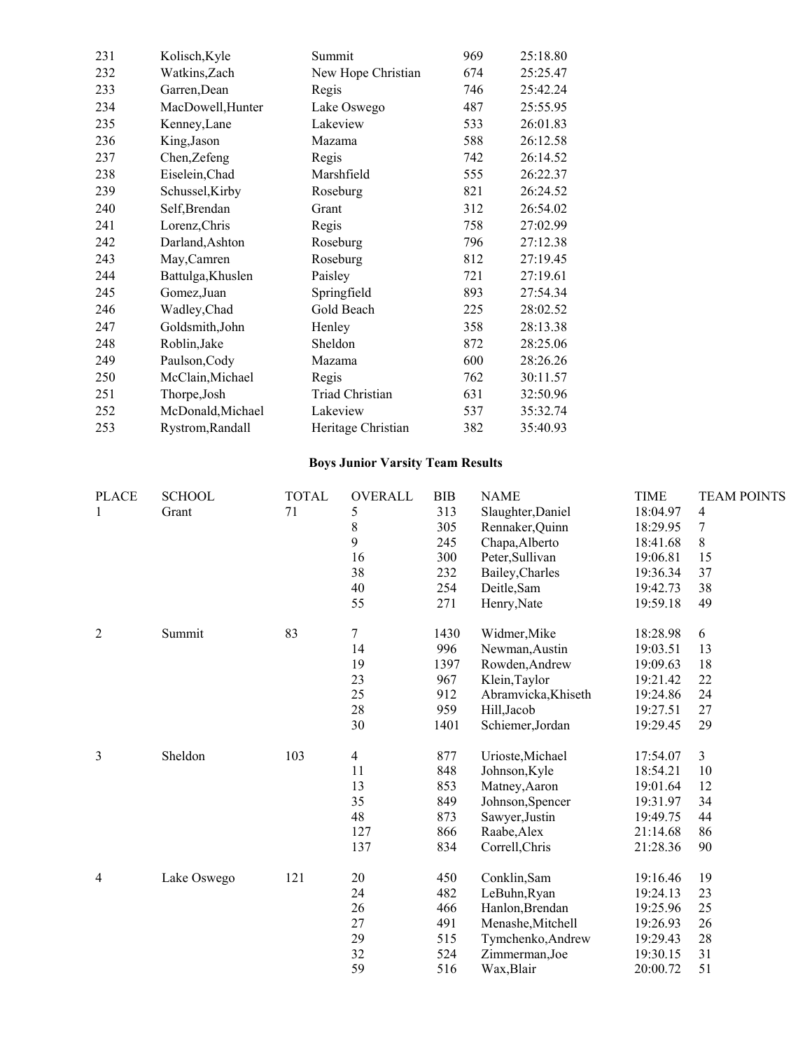| 231 | Kolisch, Kyle     | Summit                 | 969 | 25:18.80 |
|-----|-------------------|------------------------|-----|----------|
| 232 | Watkins, Zach     | New Hope Christian     | 674 | 25:25.47 |
| 233 | Garren, Dean      | Regis                  | 746 | 25:42.24 |
| 234 | MacDowell, Hunter | Lake Oswego            | 487 | 25:55.95 |
| 235 | Kenney, Lane      | Lakeview               | 533 | 26:01.83 |
| 236 | King, Jason       | Mazama                 | 588 | 26:12.58 |
| 237 | Chen, Zefeng      | Regis                  | 742 | 26:14.52 |
| 238 | Eiselein, Chad    | Marshfield             | 555 | 26:22.37 |
| 239 | Schussel, Kirby   | Roseburg               | 821 | 26:24.52 |
| 240 | Self, Brendan     | Grant                  | 312 | 26:54.02 |
| 241 | Lorenz, Chris     | Regis                  | 758 | 27:02.99 |
| 242 | Darland, Ashton   | Roseburg               | 796 | 27:12.38 |
| 243 | May, Camren       | Roseburg               | 812 | 27:19.45 |
| 244 | Battulga, Khuslen | Paisley                | 721 | 27:19.61 |
| 245 | Gomez, Juan       | Springfield            | 893 | 27:54.34 |
| 246 | Wadley, Chad      | Gold Beach             | 225 | 28:02.52 |
| 247 | Goldsmith, John   | Henley                 | 358 | 28:13.38 |
| 248 | Roblin, Jake      | Sheldon                | 872 | 28:25.06 |
| 249 | Paulson, Cody     | Mazama                 | 600 | 28:26.26 |
| 250 | McClain, Michael  | Regis                  | 762 | 30:11.57 |
| 251 | Thorpe, Josh      | <b>Triad Christian</b> | 631 | 32:50.96 |
| 252 | McDonald, Michael | Lakeview               | 537 | 35:32.74 |
| 253 | Rystrom, Randall  | Heritage Christian     | 382 | 35:40.93 |
|     |                   |                        |     |          |

# **Boys Junior Varsity Team Results**

| <b>PLACE</b> | <b>SCHOOL</b> | <b>TOTAL</b> | OVERALL | <b>BIB</b> | <b>NAME</b>         | <b>TIME</b> | <b>TEAM POINTS</b> |
|--------------|---------------|--------------|---------|------------|---------------------|-------------|--------------------|
| 1            | Grant         | 71           | 5       | 313        | Slaughter, Daniel   | 18:04.97    | $\overline{4}$     |
|              |               |              | 8       | 305        | Rennaker, Quinn     | 18:29.95    | 7                  |
|              |               |              | 9       | 245        | Chapa, Alberto      | 18:41.68    | $8\,$              |
|              |               |              | 16      | 300        | Peter, Sullivan     | 19:06.81    | 15                 |
|              |               |              | 38      | 232        | Bailey, Charles     | 19:36.34    | 37                 |
|              |               |              | 40      | 254        | Deitle, Sam         | 19:42.73    | 38                 |
|              |               |              | 55      | 271        | Henry, Nate         | 19:59.18    | 49                 |
| $\mathbf{2}$ | Summit        | 83           | $\tau$  | 1430       | Widmer, Mike        | 18:28.98    | 6                  |
|              |               |              | 14      | 996        | Newman, Austin      | 19:03.51    | 13                 |
|              |               |              | 19      | 1397       | Rowden, Andrew      | 19:09.63    | 18                 |
|              |               |              | 23      | 967        | Klein, Taylor       | 19:21.42    | 22                 |
|              |               |              | 25      | 912        | Abramvicka, Khiseth | 19:24.86    | 24                 |
|              |               |              | 28      | 959        | Hill, Jacob         | 19:27.51    | 27                 |
|              |               |              | 30      | 1401       | Schiemer, Jordan    | 19:29.45    | 29                 |
| 3            | Sheldon       | 103          | 4       | 877        | Urioste, Michael    | 17:54.07    | $\overline{3}$     |
|              |               |              | 11      | 848        | Johnson, Kyle       | 18:54.21    | 10                 |
|              |               |              | 13      | 853        | Matney, Aaron       | 19:01.64    | 12                 |
|              |               |              | 35      | 849        | Johnson, Spencer    | 19:31.97    | 34                 |
|              |               |              | 48      | 873        | Sawyer, Justin      | 19:49.75    | 44                 |
|              |               |              | 127     | 866        | Raabe, Alex         | 21:14.68    | 86                 |
|              |               |              | 137     | 834        | Correll, Chris      | 21:28.36    | 90                 |
| 4            | Lake Oswego   | 121          | 20      | 450        | Conklin, Sam        | 19:16.46    | 19                 |
|              |               |              | 24      | 482        | LeBuhn, Ryan        | 19:24.13    | 23                 |
|              |               |              | 26      | 466        | Hanlon, Brendan     | 19:25.96    | 25                 |
|              |               |              | 27      | 491        | Menashe, Mitchell   | 19:26.93    | 26                 |
|              |               |              | 29      | 515        | Tymchenko, Andrew   | 19:29.43    | $28\,$             |
|              |               |              | 32      | 524        | Zimmerman, Joe      | 19:30.15    | 31                 |
|              |               |              | 59      | 516        | Wax, Blair          | 20:00.72    | 51                 |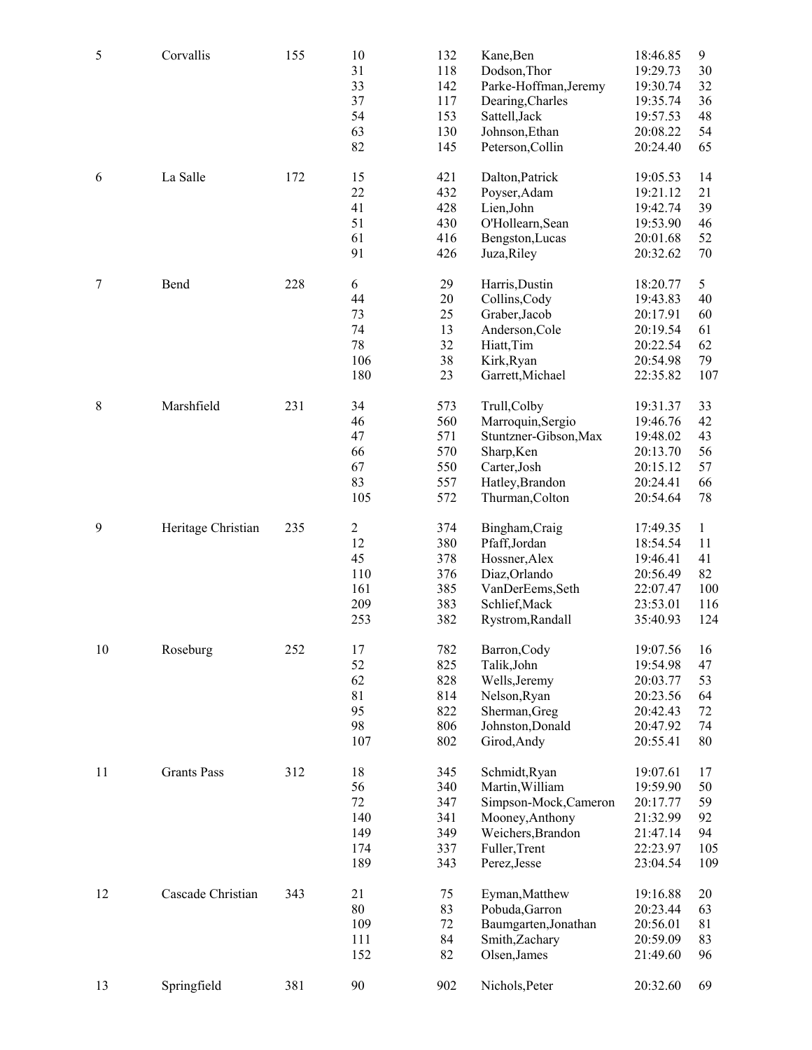| 5      | Corvallis          | 155 | 10<br>31<br>33<br>37<br>54<br>63<br>82                   | 132<br>118<br>142<br>117<br>153<br>130<br>145 | Kane, Ben<br>Dodson, Thor<br>Parke-Hoffman, Jeremy<br>Dearing, Charles<br>Sattell, Jack<br>Johnson, Ethan<br>Peterson, Collin      | 18:46.85<br>19:29.73<br>19:30.74<br>19:35.74<br>19:57.53<br>20:08.22<br>20:24.40 | $\boldsymbol{9}$<br>30<br>32<br>36<br>48<br>54<br>65 |
|--------|--------------------|-----|----------------------------------------------------------|-----------------------------------------------|------------------------------------------------------------------------------------------------------------------------------------|----------------------------------------------------------------------------------|------------------------------------------------------|
| 6      | La Salle           | 172 | 15<br>22<br>41<br>51<br>61<br>91                         | 421<br>432<br>428<br>430<br>416<br>426        | Dalton, Patrick<br>Poyser, Adam<br>Lien, John<br>O'Hollearn, Sean<br>Bengston, Lucas<br>Juza, Riley                                | 19:05.53<br>19:21.12<br>19:42.74<br>19:53.90<br>20:01.68<br>20:32.62             | 14<br>21<br>39<br>46<br>52<br>$70\,$                 |
| $\tau$ | Bend               | 228 | 6<br>44<br>73<br>74<br>78<br>106<br>180                  | 29<br>20<br>25<br>13<br>32<br>38<br>23        | Harris, Dustin<br>Collins, Cody<br>Graber, Jacob<br>Anderson, Cole<br>Hiatt, Tim<br>Kirk, Ryan<br>Garrett, Michael                 | 18:20.77<br>19:43.83<br>20:17.91<br>20:19.54<br>20:22.54<br>20:54.98<br>22:35.82 | 5<br>40<br>60<br>61<br>62<br>79<br>107               |
| 8      | Marshfield         | 231 | 34<br>46<br>47<br>66<br>67<br>83<br>105                  | 573<br>560<br>571<br>570<br>550<br>557<br>572 | Trull, Colby<br>Marroquin, Sergio<br>Stuntzner-Gibson, Max<br>Sharp, Ken<br>Carter, Josh<br>Hatley, Brandon<br>Thurman, Colton     | 19:31.37<br>19:46.76<br>19:48.02<br>20:13.70<br>20:15.12<br>20:24.41<br>20:54.64 | 33<br>42<br>43<br>56<br>57<br>66<br>78               |
| 9      | Heritage Christian | 235 | $\boldsymbol{2}$<br>12<br>45<br>110<br>161<br>209<br>253 | 374<br>380<br>378<br>376<br>385<br>383<br>382 | Bingham, Craig<br>Pfaff,Jordan<br>Hossner, Alex<br>Diaz, Orlando<br>VanDerEems, Seth<br>Schlief, Mack<br>Rystrom, Randall          | 17:49.35<br>18:54.54<br>19:46.41<br>20:56.49<br>22:07.47<br>23:53.01<br>35:40.93 | $\mathbf{1}$<br>11<br>41<br>82<br>100<br>116<br>124  |
| 10     | Roseburg           | 252 | 17<br>52<br>62<br>81<br>95<br>98<br>107                  | 782<br>825<br>828<br>814<br>822<br>806<br>802 | Barron, Cody<br>Talik, John<br>Wells, Jeremy<br>Nelson, Ryan<br>Sherman, Greg<br>Johnston, Donald<br>Girod, Andy                   | 19:07.56<br>19:54.98<br>20:03.77<br>20:23.56<br>20:42.43<br>20:47.92<br>20:55.41 | 16<br>47<br>53<br>64<br>$72\,$<br>74<br>$80\,$       |
| 11     | <b>Grants Pass</b> | 312 | 18<br>56<br>$72\,$<br>140<br>149<br>174<br>189           | 345<br>340<br>347<br>341<br>349<br>337<br>343 | Schmidt, Ryan<br>Martin, William<br>Simpson-Mock, Cameron<br>Mooney, Anthony<br>Weichers, Brandon<br>Fuller, Trent<br>Perez, Jesse | 19:07.61<br>19:59.90<br>20:17.77<br>21:32.99<br>21:47.14<br>22:23.97<br>23:04.54 | 17<br>50<br>59<br>92<br>94<br>105<br>109             |
| 12     | Cascade Christian  | 343 | 21<br>80<br>109<br>111<br>152                            | 75<br>83<br>72<br>84<br>82                    | Eyman, Matthew<br>Pobuda, Garron<br>Baumgarten, Jonathan<br>Smith, Zachary<br>Olsen, James                                         | 19:16.88<br>20:23.44<br>20:56.01<br>20:59.09<br>21:49.60                         | 20<br>63<br>81<br>83<br>96                           |
| 13     | Springfield        | 381 | 90                                                       | 902                                           | Nichols, Peter                                                                                                                     | 20:32.60                                                                         | 69                                                   |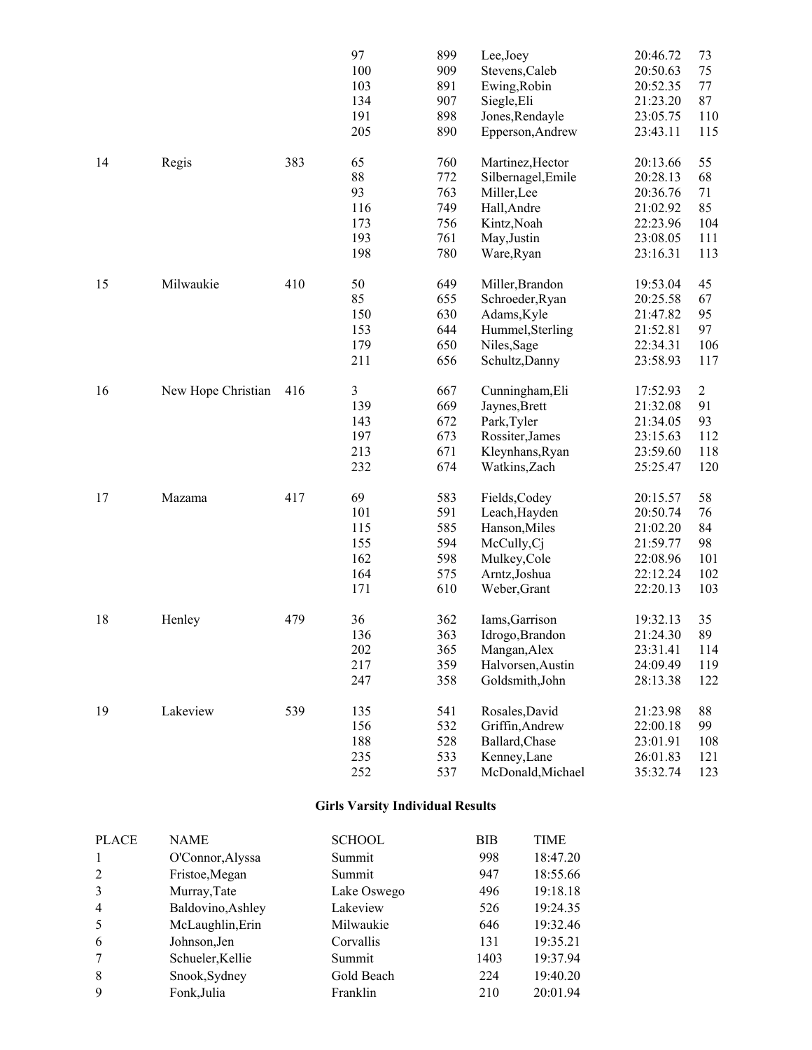|    |                    |     | 97  | 899 | Lee, Joey          | 20:46.72 | 73             |
|----|--------------------|-----|-----|-----|--------------------|----------|----------------|
|    |                    |     | 100 | 909 | Stevens, Caleb     | 20:50.63 | 75             |
|    |                    |     | 103 | 891 | Ewing, Robin       | 20:52.35 | 77             |
|    |                    |     | 134 | 907 | Siegle, Eli        | 21:23.20 | 87             |
|    |                    |     | 191 | 898 | Jones, Rendayle    | 23:05.75 | 110            |
|    |                    |     | 205 | 890 | Epperson, Andrew   | 23:43.11 | 115            |
|    |                    |     |     |     |                    |          |                |
| 14 | Regis              | 383 | 65  | 760 | Martinez, Hector   | 20:13.66 | 55             |
|    |                    |     | 88  | 772 | Silbernagel, Emile | 20:28.13 | 68             |
|    |                    |     | 93  | 763 | Miller, Lee        | 20:36.76 | 71             |
|    |                    |     | 116 | 749 | Hall, Andre        | 21:02.92 | 85             |
|    |                    |     | 173 | 756 | Kintz, Noah        | 22:23.96 | 104            |
|    |                    |     | 193 | 761 | May, Justin        | 23:08.05 | 111            |
|    |                    |     | 198 | 780 | Ware, Ryan         | 23:16.31 | 113            |
|    |                    |     |     |     |                    |          |                |
| 15 | Milwaukie          | 410 | 50  | 649 | Miller, Brandon    | 19:53.04 | 45             |
|    |                    |     | 85  | 655 | Schroeder, Ryan    | 20:25.58 | 67             |
|    |                    |     | 150 | 630 | Adams, Kyle        | 21:47.82 | 95             |
|    |                    |     | 153 | 644 | Hummel, Sterling   | 21:52.81 | 97             |
|    |                    |     | 179 | 650 | Niles, Sage        | 22:34.31 | 106            |
|    |                    |     | 211 | 656 | Schultz, Danny     | 23:58.93 | 117            |
|    |                    |     |     |     |                    |          |                |
| 16 | New Hope Christian | 416 | 3   | 667 | Cunningham, Eli    | 17:52.93 | $\overline{c}$ |
|    |                    |     | 139 | 669 | Jaynes, Brett      | 21:32.08 | 91             |
|    |                    |     | 143 | 672 | Park, Tyler        | 21:34.05 | 93             |
|    |                    |     | 197 | 673 | Rossiter, James    | 23:15.63 | 112            |
|    |                    |     | 213 | 671 | Kleynhans, Ryan    | 23:59.60 | 118            |
|    |                    |     | 232 | 674 | Watkins, Zach      | 25:25.47 | 120            |
|    |                    |     |     |     |                    |          |                |
| 17 | Mazama             | 417 | 69  | 583 | Fields, Codey      | 20:15.57 | 58             |
|    |                    |     | 101 | 591 | Leach, Hayden      | 20:50.74 | 76             |
|    |                    |     | 115 | 585 | Hanson, Miles      | 21:02.20 | 84             |
|    |                    |     | 155 | 594 | McCully, Cj        | 21:59.77 | 98             |
|    |                    |     | 162 | 598 | Mulkey, Cole       | 22:08.96 | 101            |
|    |                    |     | 164 | 575 | Arntz, Joshua      | 22:12.24 | 102            |
|    |                    |     | 171 | 610 | Weber, Grant       | 22:20.13 | 103            |
|    |                    |     |     |     |                    |          |                |
| 18 | Henley             | 479 | 36  | 362 | Iams, Garrison     | 19:32.13 | 35             |
|    |                    |     | 136 | 363 | Idrogo, Brandon    | 21:24.30 | 89             |
|    |                    |     | 202 | 365 | Mangan, Alex       | 23:31.41 | 114            |
|    |                    |     | 217 | 359 | Halvorsen, Austin  | 24:09.49 | 119            |
|    |                    |     | 247 | 358 | Goldsmith, John    | 28:13.38 | 122            |
|    |                    |     |     |     |                    |          |                |
| 19 | Lakeview           | 539 | 135 | 541 | Rosales, David     | 21:23.98 | 88             |
|    |                    |     | 156 | 532 | Griffin, Andrew    | 22:00.18 | 99             |
|    |                    |     | 188 | 528 | Ballard, Chase     | 23:01.91 | 108            |
|    |                    |     | 235 | 533 | Kenney, Lane       | 26:01.83 | 121            |
|    |                    |     | 252 | 537 | McDonald, Michael  | 35:32.74 | 123            |

#### **Girls Varsity Individual Results**

| <b>PLACE</b>   | <b>NAME</b>       | <b>SCHOOL</b> | ВIВ  | TIME     |
|----------------|-------------------|---------------|------|----------|
|                | O'Connor, Alyssa  | Summit        | 998  | 18:47.20 |
| 2              | Fristoe, Megan    | Summit        | 947  | 18:55.66 |
| 3              | Murray, Tate      | Lake Oswego   | 496  | 19:18.18 |
| $\overline{4}$ | Baldovino, Ashley | Lakeview      | 526  | 19:24.35 |
| 5              | McLaughlin, Erin  | Milwaukie     | 646  | 19:32.46 |
| 6              | Johnson, Jen      | Corvallis     | 131  | 19:35.21 |
|                | Schueler, Kellie  | Summit        | 1403 | 19:37.94 |
| 8              | Snook, Sydney     | Gold Beach    | 224  | 19:40.20 |
| 9              | Fonk, Julia       | Franklin      | 210  | 20:01.94 |
|                |                   |               |      |          |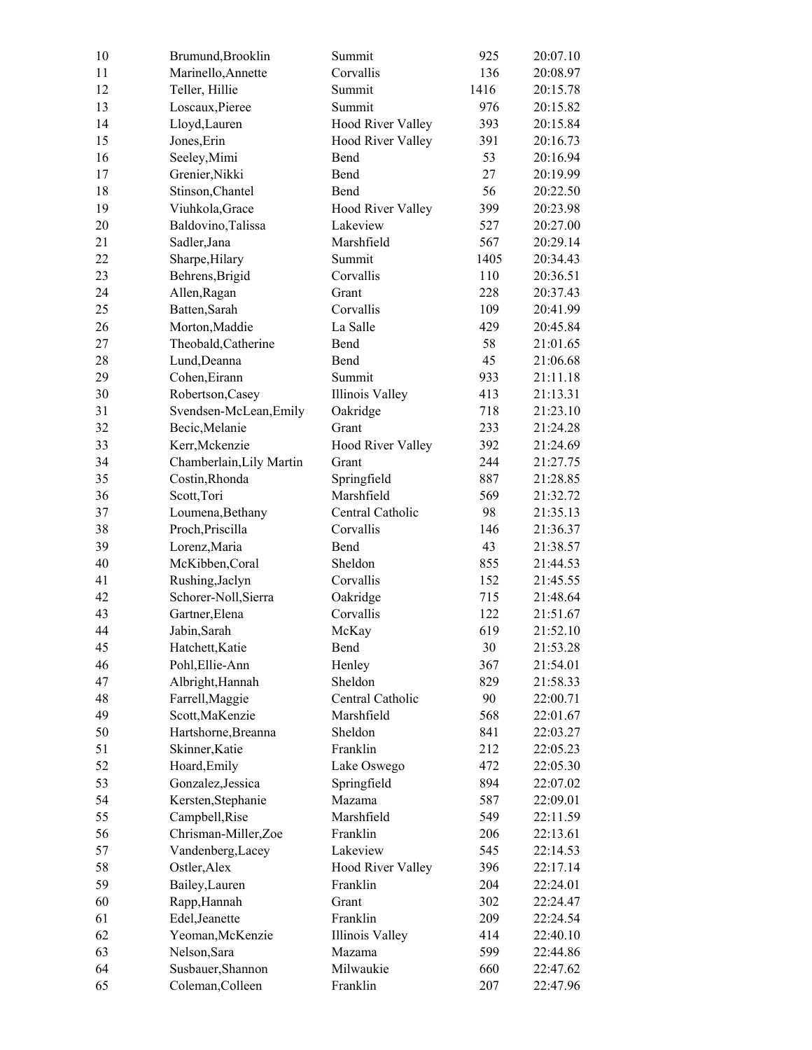| 10 | Brumund, Brooklin        | Summit                   | 925    | 20:07.10 |
|----|--------------------------|--------------------------|--------|----------|
| 11 | Marinello, Annette       | Corvallis                | 136    | 20:08.97 |
| 12 | Teller, Hillie           | Summit                   | 1416   | 20:15.78 |
| 13 | Loscaux, Pieree          | Summit                   | 976    | 20:15.82 |
| 14 | Lloyd, Lauren            | Hood River Valley        | 393    | 20:15.84 |
| 15 | Jones, Erin              | <b>Hood River Valley</b> | 391    | 20:16.73 |
| 16 | Seeley, Mimi             | Bend                     | 53     | 20:16.94 |
| 17 | Grenier, Nikki           | Bend                     | 27     | 20:19.99 |
| 18 | Stinson, Chantel         | Bend                     | 56     | 20:22.50 |
| 19 | Viuhkola, Grace          | Hood River Valley        | 399    | 20:23.98 |
| 20 | Baldovino, Talissa       | Lakeview                 | 527    | 20:27.00 |
| 21 | Sadler, Jana             | Marshfield               | 567    | 20:29.14 |
| 22 | Sharpe, Hilary           | Summit                   | 1405   | 20:34.43 |
| 23 | Behrens, Brigid          | Corvallis                | 110    | 20:36.51 |
| 24 | Allen, Ragan             | Grant                    | 228    | 20:37.43 |
| 25 | Batten, Sarah            | Corvallis                | 109    | 20:41.99 |
| 26 | Morton, Maddie           | La Salle                 | 429    | 20:45.84 |
| 27 | Theobald, Catherine      | Bend                     | 58     | 21:01.65 |
| 28 | Lund, Deanna             | Bend                     | 45     | 21:06.68 |
| 29 | Cohen, Eirann            | Summit                   | 933    | 21:11.18 |
| 30 | Robertson, Casey         | Illinois Valley          | 413    | 21:13.31 |
| 31 | Svendsen-McLean, Emily   | Oakridge                 | 718    | 21:23.10 |
| 32 | Becic, Melanie           | Grant                    | 233    | 21:24.28 |
| 33 | Kerr, Mckenzie           | Hood River Valley        | 392    | 21:24.69 |
| 34 | Chamberlain, Lily Martin | Grant                    | 244    | 21:27.75 |
| 35 | Costin, Rhonda           | Springfield              | 887    | 21:28.85 |
| 36 | Scott, Tori              | Marshfield               | 569    | 21:32.72 |
| 37 | Loumena, Bethany         | Central Catholic         | 98     | 21:35.13 |
| 38 | Proch, Priscilla         | Corvallis                | 146    | 21:36.37 |
| 39 | Lorenz, Maria            | Bend                     | 43     | 21:38.57 |
| 40 | McKibben, Coral          | Sheldon                  | 855    | 21:44.53 |
| 41 | Rushing, Jaclyn          | Corvallis                | 152    | 21:45.55 |
| 42 | Schorer-Noll, Sierra     | Oakridge                 | 715    | 21:48.64 |
| 43 | Gartner, Elena           | Corvallis                | 122    | 21:51.67 |
| 44 | Jabin, Sarah             | McKay                    | 619    | 21:52.10 |
| 45 | Hatchett, Katie          | Bend                     | $30\,$ | 21:53.28 |
| 46 | Pohl, Ellie-Ann          | Henley                   | 367    | 21:54.01 |
| 47 | Albright, Hannah         | Sheldon                  | 829    | 21:58.33 |
| 48 | Farrell, Maggie          | Central Catholic         | 90     | 22:00.71 |
| 49 | Scott, MaKenzie          | Marshfield               | 568    | 22:01.67 |
| 50 | Hartshorne, Breanna      | Sheldon                  | 841    | 22:03.27 |
| 51 | Skinner, Katie           | Franklin                 | 212    | 22:05.23 |
| 52 | Hoard, Emily             | Lake Oswego              | 472    | 22:05.30 |
| 53 | Gonzalez, Jessica        | Springfield              | 894    | 22:07.02 |
| 54 | Kersten, Stephanie       | Mazama                   | 587    | 22:09.01 |
| 55 | Campbell, Rise           | Marshfield               | 549    | 22:11.59 |
| 56 | Chrisman-Miller,Zoe      | Franklin                 | 206    | 22:13.61 |
| 57 | Vandenberg, Lacey        | Lakeview                 | 545    | 22:14.53 |
| 58 | Ostler, Alex             | <b>Hood River Valley</b> | 396    | 22:17.14 |
|    |                          |                          |        |          |
| 59 | Bailey, Lauren           | Franklin                 | 204    | 22:24.01 |
| 60 | Rapp, Hannah             | Grant                    | 302    | 22:24.47 |
| 61 | Edel, Jeanette           | Franklin                 | 209    | 22:24.54 |
| 62 | Yeoman, McKenzie         | <b>Illinois Valley</b>   | 414    | 22:40.10 |
| 63 | Nelson, Sara             | Mazama                   | 599    | 22:44.86 |
| 64 | Susbauer, Shannon        | Milwaukie                | 660    | 22:47.62 |
| 65 | Coleman, Colleen         | Franklin                 | 207    | 22:47.96 |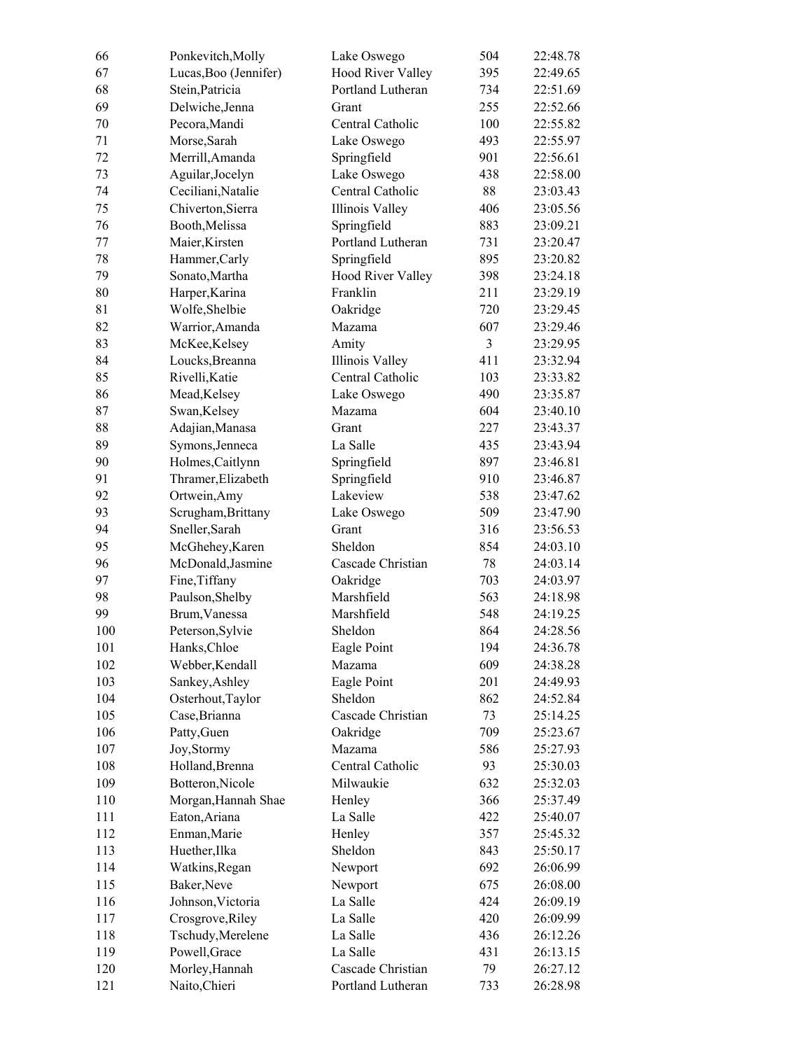| 66         | Ponkevitch, Molly               | Lake Oswego              | 504            | 22:48.78             |
|------------|---------------------------------|--------------------------|----------------|----------------------|
| 67         | Lucas, Boo (Jennifer)           | <b>Hood River Valley</b> | 395            | 22:49.65             |
| 68         | Stein, Patricia                 | Portland Lutheran        | 734            | 22:51.69             |
| 69         | Delwiche, Jenna                 | Grant                    | 255            | 22:52.66             |
| 70         | Pecora, Mandi                   | Central Catholic         | 100            | 22:55.82             |
| 71         | Morse, Sarah                    | Lake Oswego              | 493            | 22:55.97             |
| 72         | Merrill, Amanda                 | Springfield              | 901            | 22:56.61             |
| 73         | Aguilar, Jocelyn                | Lake Oswego              | 438            | 22:58.00             |
| 74         | Ceciliani, Natalie              | Central Catholic         | 88             | 23:03.43             |
| 75         | Chiverton, Sierra               | Illinois Valley          | 406            | 23:05.56             |
| 76         | Booth, Melissa                  | Springfield              | 883            | 23:09.21             |
| 77         | Maier, Kirsten                  | Portland Lutheran        | 731            | 23:20.47             |
| 78         | Hammer, Carly                   | Springfield              | 895            | 23:20.82             |
| 79         | Sonato, Martha                  | <b>Hood River Valley</b> | 398            | 23:24.18             |
| 80         | Harper, Karina                  | Franklin                 | 211            | 23:29.19             |
| 81         | Wolfe, Shelbie                  | Oakridge                 | 720            | 23:29.45             |
| 82         | Warrior, Amanda                 | Mazama                   | 607            | 23:29.46             |
| 83         | McKee, Kelsey                   | Amity                    | $\overline{3}$ | 23:29.95             |
| 84         | Loucks, Breanna                 | <b>Illinois Valley</b>   | 411            | 23:32.94             |
| 85         | Rivelli, Katie                  | Central Catholic         | 103            | 23:33.82             |
| 86         | Mead, Kelsey                    | Lake Oswego              | 490            | 23:35.87             |
| 87         | Swan, Kelsey                    | Mazama                   | 604            | 23:40.10             |
| 88         | Adajian, Manasa                 | Grant                    | 227            | 23:43.37             |
| 89         | Symons, Jenneca                 | La Salle                 | 435            | 23:43.94             |
| 90         | Holmes, Caitlynn                | Springfield              | 897            | 23:46.81             |
| 91         | Thramer, Elizabeth              | Springfield              | 910            | 23:46.87             |
| 92         | Ortwein, Amy                    | Lakeview                 | 538            | 23:47.62             |
| 93         | Scrugham, Brittany              | Lake Oswego              | 509            | 23:47.90             |
| 94         | Sneller, Sarah                  | Grant                    | 316            | 23:56.53             |
| 95         | McGhehey, Karen                 | Sheldon                  | 854            | 24:03.10             |
| 96         | McDonald, Jasmine               | Cascade Christian        | 78             | 24:03.14             |
| 97         | Fine, Tiffany                   | Oakridge                 | 703            | 24:03.97             |
| 98         | Paulson, Shelby                 | Marshfield               | 563            | 24:18.98             |
| 99         | Brum, Vanessa                   | Marshfield               | 548            | 24:19.25             |
| 100        | Peterson, Sylvie                | Sheldon                  | 864            | 24:28.56             |
| 101        | Hanks, Chloe                    | Eagle Point              | 194            | 24:36.78             |
| 102        | Webber, Kendall                 | Mazama                   | 609            | 24:38.28             |
| 103        | Sankey, Ashley                  | Eagle Point              | 201            | 24:49.93             |
| 104        | Osterhout, Taylor               | Sheldon                  | 862            | 24:52.84             |
| 105        | Case, Brianna                   | Cascade Christian        | 73             | 25:14.25             |
| 106        | Patty, Guen                     | Oakridge                 | 709            | 25:23.67             |
| 107        | Joy, Stormy                     | Mazama                   | 586            | 25:27.93             |
| 108        | Holland, Brenna                 | Central Catholic         | 93             | 25:30.03             |
| 109        | Botteron, Nicole                | Milwaukie                | 632            | 25:32.03             |
| 110        | Morgan, Hannah Shae             | Henley                   | 366            | 25:37.49             |
| 111        | Eaton, Ariana                   | La Salle                 | 422            | 25:40.07             |
| 112        | Enman, Marie                    | Henley                   | 357            | 25:45.32             |
| 113        | Huether, Ilka                   | Sheldon                  | 843            | 25:50.17             |
| 114        | Watkins, Regan                  | Newport                  | 692            | 26:06.99             |
| 115        | Baker, Neve                     |                          | 675            | 26:08.00             |
| 116        | Johnson, Victoria               | Newport<br>La Salle      | 424            | 26:09.19             |
|            |                                 | La Salle                 | 420            |                      |
| 117        | Crosgrove, Riley                |                          |                | 26:09.99<br>26:12.26 |
| 118        | Tschudy, Merelene               | La Salle<br>La Salle     | 436            |                      |
| 119<br>120 | Powell, Grace<br>Morley, Hannah | Cascade Christian        | 431<br>79      | 26:13.15             |
| 121        |                                 | Portland Lutheran        |                | 26:27.12<br>26:28.98 |
|            | Naito, Chieri                   |                          | 733            |                      |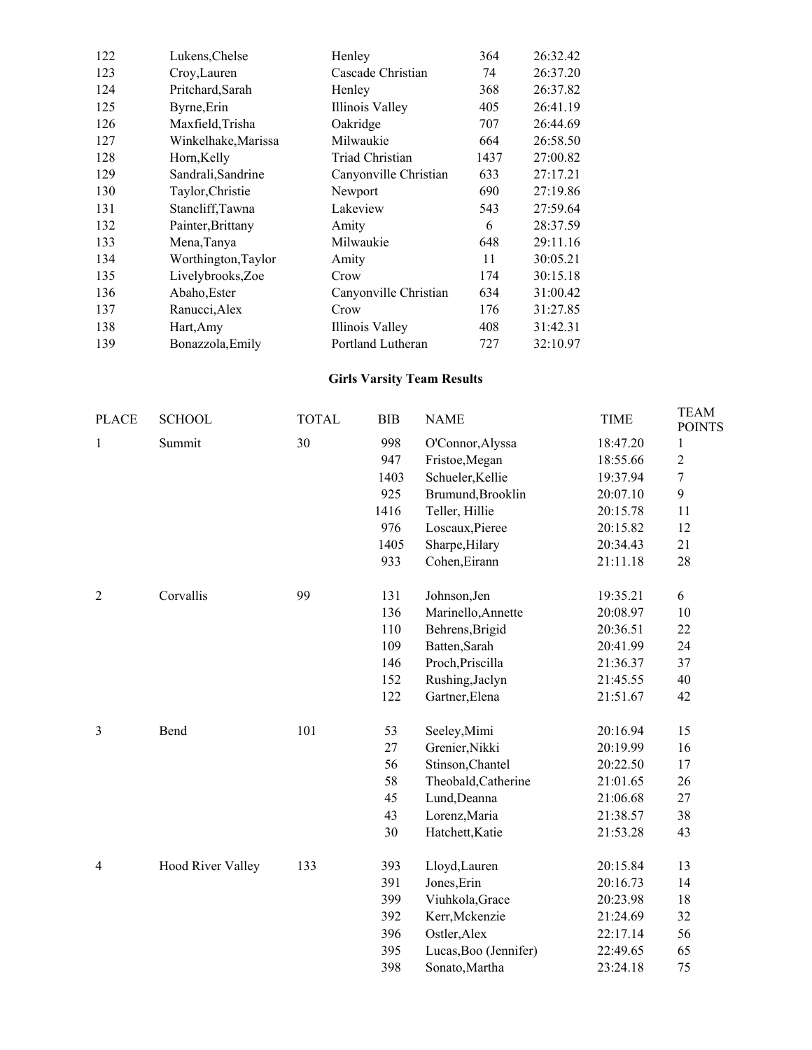| 122 | Lukens, Chelse      | Henley                | 364  | 26:32.42 |
|-----|---------------------|-----------------------|------|----------|
| 123 | Croy, Lauren        | Cascade Christian     | 74   | 26:37.20 |
| 124 | Pritchard, Sarah    | Henley                | 368  | 26:37.82 |
| 125 | Byrne, Erin         | Illinois Valley       | 405  | 26:41.19 |
| 126 | Maxfield, Trisha    | Oakridge              | 707  | 26:44.69 |
| 127 | Winkelhake, Marissa | Milwaukie             | 664  | 26:58.50 |
| 128 | Horn, Kelly         | Triad Christian       | 1437 | 27:00.82 |
| 129 | Sandrali, Sandrine  | Canyonville Christian | 633  | 27:17.21 |
| 130 | Taylor, Christie    | Newport               | 690  | 27:19.86 |
| 131 | Stancliff, Tawna    | Lakeview              | 543  | 27:59.64 |
| 132 | Painter, Brittany   | Amity                 | 6    | 28:37.59 |
| 133 | Mena, Tanya         | Milwaukie             | 648  | 29:11.16 |
| 134 | Worthington, Taylor | Amity                 | 11   | 30:05.21 |
| 135 | Livelybrooks, Zoe   | Crow                  | 174  | 30:15.18 |
| 136 | Abaho, Ester        | Canyonville Christian | 634  | 31:00.42 |
| 137 | Ranucci, Alex       | Crow                  | 176  | 31:27.85 |
| 138 | Hart, Amy           | Illinois Valley       | 408  | 31:42.31 |
| 139 | Bonazzola, Emily    | Portland Lutheran     | 727  | 32:10.97 |

#### **Girls Varsity Team Results**

| <b>PLACE</b>   | <b>SCHOOL</b>            | <b>TOTAL</b> | <b>BIB</b> | <b>NAME</b>           | <b>TIME</b> | <b>TEAM</b><br><b>POINTS</b> |
|----------------|--------------------------|--------------|------------|-----------------------|-------------|------------------------------|
| $\mathbf{1}$   | Summit                   | 30           | 998        | O'Connor, Alyssa      | 18:47.20    | $\mathbf{1}$                 |
|                |                          |              | 947        | Fristoe, Megan        | 18:55.66    | $\overline{c}$               |
|                |                          |              | 1403       | Schueler, Kellie      | 19:37.94    | $\boldsymbol{7}$             |
|                |                          |              | 925        | Brumund, Brooklin     | 20:07.10    | 9                            |
|                |                          |              | 1416       | Teller, Hillie        | 20:15.78    | 11                           |
|                |                          |              | 976        | Loscaux, Pieree       | 20:15.82    | 12                           |
|                |                          |              | 1405       | Sharpe, Hilary        | 20:34.43    | 21                           |
|                |                          |              | 933        | Cohen, Eirann         | 21:11.18    | 28                           |
| 2              | Corvallis                | 99           | 131        | Johnson, Jen          | 19:35.21    | 6                            |
|                |                          |              | 136        | Marinello, Annette    | 20:08.97    | 10                           |
|                |                          |              | 110        | Behrens, Brigid       | 20:36.51    | 22                           |
|                |                          |              | 109        | Batten, Sarah         | 20:41.99    | 24                           |
|                |                          |              | 146        | Proch, Priscilla      | 21:36.37    | 37                           |
|                |                          |              | 152        | Rushing, Jaclyn       | 21:45.55    | 40                           |
|                |                          |              | 122        | Gartner, Elena        | 21:51.67    | 42                           |
| 3              | Bend                     | 101          | 53         | Seeley, Mimi          | 20:16.94    | 15                           |
|                |                          |              | 27         | Grenier, Nikki        | 20:19.99    | 16                           |
|                |                          |              | 56         | Stinson, Chantel      | 20:22.50    | 17                           |
|                |                          |              | 58         | Theobald, Catherine   | 21:01.65    | 26                           |
|                |                          |              | 45         | Lund, Deanna          | 21:06.68    | 27                           |
|                |                          |              | 43         | Lorenz, Maria         | 21:38.57    | 38                           |
|                |                          |              | 30         | Hatchett, Katie       | 21:53.28    | 43                           |
| $\overline{4}$ | <b>Hood River Valley</b> | 133          | 393        | Lloyd, Lauren         | 20:15.84    | 13                           |
|                |                          |              | 391        | Jones, Erin           | 20:16.73    | 14                           |
|                |                          |              | 399        | Viuhkola, Grace       | 20:23.98    | 18                           |
|                |                          |              | 392        | Kerr, Mckenzie        | 21:24.69    | 32                           |
|                |                          |              | 396        | Ostler, Alex          | 22:17.14    | 56                           |
|                |                          |              | 395        | Lucas, Boo (Jennifer) | 22:49.65    | 65                           |
|                |                          |              | 398        | Sonato, Martha        | 23:24.18    | 75                           |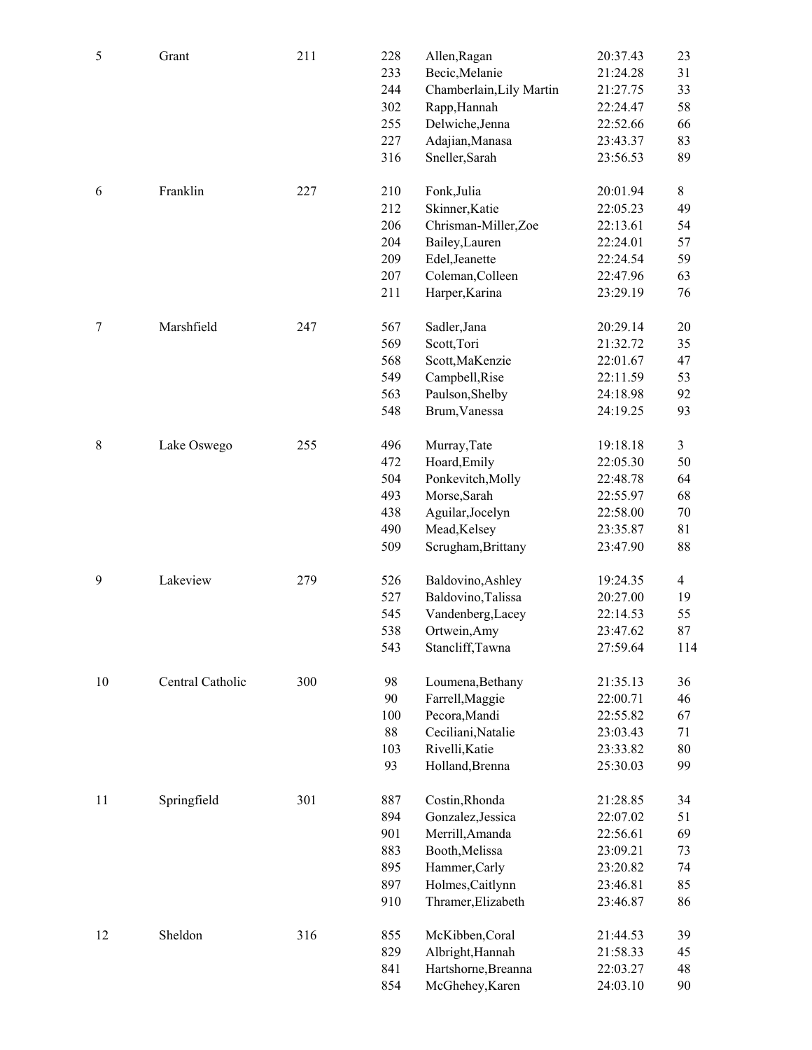| 5  | Grant            | 211 | 228<br>233<br>244<br>302<br>255<br>227<br>316 | Allen, Ragan<br>Becic, Melanie<br>Chamberlain, Lily Martin<br>Rapp, Hannah<br>Delwiche, Jenna<br>Adajian, Manasa<br>Sneller, Sarah  | 20:37.43<br>21:24.28<br>21:27.75<br>22:24.47<br>22:52.66<br>23:43.37<br>23:56.53 | 23<br>31<br>33<br>58<br>66<br>83<br>89  |
|----|------------------|-----|-----------------------------------------------|-------------------------------------------------------------------------------------------------------------------------------------|----------------------------------------------------------------------------------|-----------------------------------------|
| 6  | Franklin         | 227 | 210<br>212<br>206<br>204<br>209<br>207<br>211 | Fonk, Julia<br>Skinner, Katie<br>Chrisman-Miller,Zoe<br>Bailey, Lauren<br>Edel, Jeanette<br>Coleman, Colleen<br>Harper, Karina      | 20:01.94<br>22:05.23<br>22:13.61<br>22:24.01<br>22:24.54<br>22:47.96<br>23:29.19 | 8<br>49<br>54<br>57<br>59<br>63<br>76   |
| 7  | Marshfield       | 247 | 567<br>569<br>568<br>549<br>563<br>548        | Sadler, Jana<br>Scott, Tori<br>Scott, MaKenzie<br>Campbell, Rise<br>Paulson, Shelby<br>Brum, Vanessa                                | 20:29.14<br>21:32.72<br>22:01.67<br>22:11.59<br>24:18.98<br>24:19.25             | 20<br>35<br>47<br>53<br>92<br>93        |
| 8  | Lake Oswego      | 255 | 496<br>472<br>504<br>493<br>438<br>490<br>509 | Murray, Tate<br>Hoard, Emily<br>Ponkevitch, Molly<br>Morse, Sarah<br>Aguilar, Jocelyn<br>Mead, Kelsey<br>Scrugham, Brittany         | 19:18.18<br>22:05.30<br>22:48.78<br>22:55.97<br>22:58.00<br>23:35.87<br>23:47.90 | 3<br>50<br>64<br>68<br>70<br>81<br>88   |
| 9  | Lakeview         | 279 | 526<br>527<br>545<br>538<br>543               | Baldovino, Ashley<br>Baldovino, Talissa<br>Vandenberg, Lacey<br>Ortwein, Amy<br>Stancliff, Tawna                                    | 19:24.35<br>20:27.00<br>22:14.53<br>23:47.62<br>27:59.64                         | $\overline{4}$<br>19<br>55<br>87<br>114 |
| 10 | Central Catholic | 300 | 98<br>90<br>100<br>$88\,$<br>103<br>93        | Loumena, Bethany<br>Farrell, Maggie<br>Pecora, Mandi<br>Ceciliani, Natalie<br>Rivelli, Katie<br>Holland, Brenna                     | 21:35.13<br>22:00.71<br>22:55.82<br>23:03.43<br>23:33.82<br>25:30.03             | 36<br>46<br>67<br>71<br>80<br>99        |
| 11 | Springfield      | 301 | 887<br>894<br>901<br>883<br>895<br>897<br>910 | Costin, Rhonda<br>Gonzalez, Jessica<br>Merrill, Amanda<br>Booth, Melissa<br>Hammer, Carly<br>Holmes, Caitlynn<br>Thramer, Elizabeth | 21:28.85<br>22:07.02<br>22:56.61<br>23:09.21<br>23:20.82<br>23:46.81<br>23:46.87 | 34<br>51<br>69<br>73<br>74<br>85<br>86  |
| 12 | Sheldon          | 316 | 855<br>829<br>841<br>854                      | McKibben, Coral<br>Albright, Hannah<br>Hartshorne, Breanna<br>McGhehey, Karen                                                       | 21:44.53<br>21:58.33<br>22:03.27<br>24:03.10                                     | 39<br>45<br>48<br>90                    |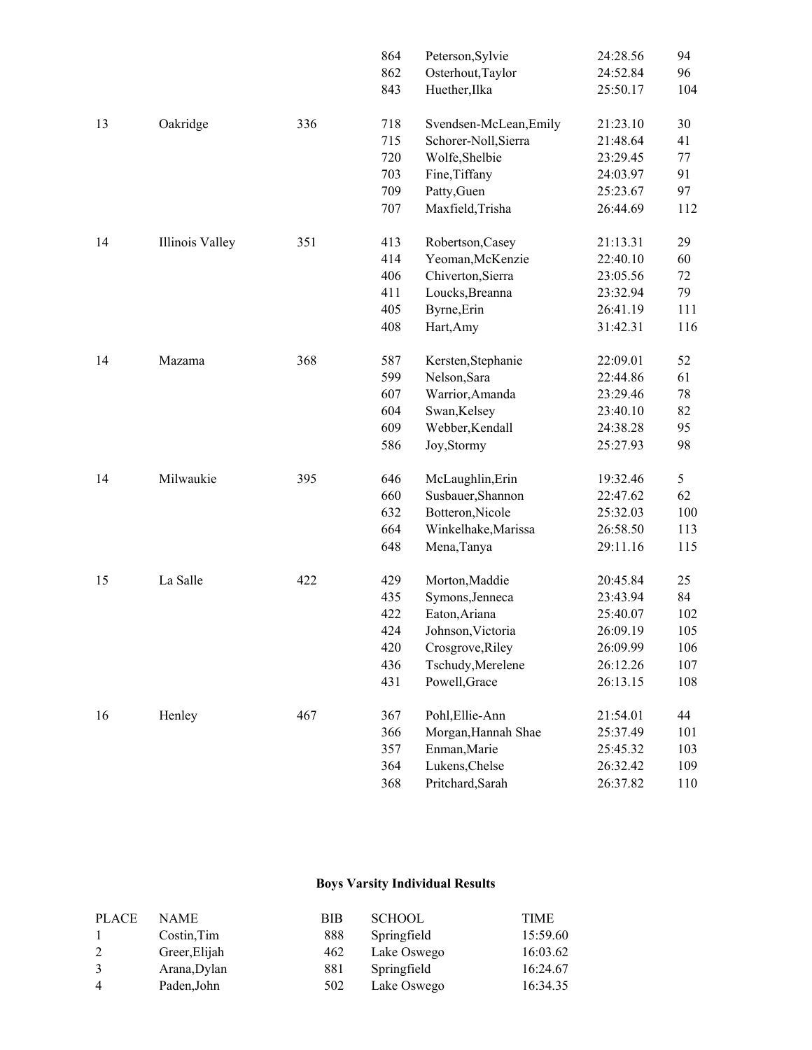|    |                 |     | 864 | Peterson, Sylvie       | 24:28.56 | 94  |
|----|-----------------|-----|-----|------------------------|----------|-----|
|    |                 |     | 862 | Osterhout, Taylor      | 24:52.84 | 96  |
|    |                 |     | 843 | Huether, Ilka          | 25:50.17 | 104 |
| 13 | Oakridge        | 336 | 718 | Svendsen-McLean, Emily | 21:23.10 | 30  |
|    |                 |     | 715 | Schorer-Noll, Sierra   | 21:48.64 | 41  |
|    |                 |     | 720 | Wolfe, Shelbie         | 23:29.45 | 77  |
|    |                 |     | 703 | Fine, Tiffany          | 24:03.97 | 91  |
|    |                 |     | 709 | Patty, Guen            | 25:23.67 | 97  |
|    |                 |     | 707 | Maxfield, Trisha       | 26:44.69 | 112 |
| 14 | Illinois Valley | 351 | 413 | Robertson, Casey       | 21:13.31 | 29  |
|    |                 |     | 414 | Yeoman, McKenzie       | 22:40.10 | 60  |
|    |                 |     | 406 | Chiverton, Sierra      | 23:05.56 | 72  |
|    |                 |     | 411 | Loucks, Breanna        | 23:32.94 | 79  |
|    |                 |     | 405 | Byrne, Erin            | 26:41.19 | 111 |
|    |                 |     | 408 | Hart, Amy              | 31:42.31 | 116 |
| 14 | Mazama          | 368 | 587 | Kersten, Stephanie     | 22:09.01 | 52  |
|    |                 |     | 599 | Nelson, Sara           | 22:44.86 | 61  |
|    |                 |     | 607 | Warrior, Amanda        | 23:29.46 | 78  |
|    |                 |     | 604 | Swan, Kelsey           | 23:40.10 | 82  |
|    |                 |     | 609 | Webber, Kendall        | 24:38.28 | 95  |
|    |                 |     | 586 | Joy, Stormy            | 25:27.93 | 98  |
| 14 | Milwaukie       | 395 | 646 | McLaughlin, Erin       | 19:32.46 | 5   |
|    |                 |     | 660 | Susbauer, Shannon      | 22:47.62 | 62  |
|    |                 |     | 632 | Botteron, Nicole       | 25:32.03 | 100 |
|    |                 |     | 664 | Winkelhake, Marissa    | 26:58.50 | 113 |
|    |                 |     | 648 | Mena, Tanya            | 29:11.16 | 115 |
| 15 | La Salle        | 422 | 429 | Morton, Maddie         | 20:45.84 | 25  |
|    |                 |     | 435 | Symons, Jenneca        | 23:43.94 | 84  |
|    |                 |     | 422 | Eaton, Ariana          | 25:40.07 | 102 |
|    |                 |     | 424 | Johnson, Victoria      | 26:09.19 | 105 |
|    |                 |     | 420 | Crosgrove, Riley       | 26:09.99 | 106 |
|    |                 |     | 436 | Tschudy, Merelene      | 26:12.26 | 107 |
|    |                 |     | 431 | Powell, Grace          | 26:13.15 | 108 |
| 16 | Henley          | 467 | 367 | Pohl, Ellie-Ann        | 21:54.01 | 44  |
|    |                 |     | 366 | Morgan, Hannah Shae    | 25:37.49 | 101 |
|    |                 |     | 357 | Enman, Marie           | 25:45.32 | 103 |
|    |                 |     | 364 | Lukens, Chelse         | 26:32.42 | 109 |
|    |                 |     | 368 | Pritchard, Sarah       | 26:37.82 | 110 |

### **Boys Varsity Individual Results**

| <b>PLACE</b>   | NAME          | <b>BIB</b> | <b>SCHOOL</b> | <b>TIME</b> |
|----------------|---------------|------------|---------------|-------------|
|                | Costin, Tim   | 888        | Springfield   | 15:59.60    |
| 2              | Greer, Elijah | 462        | Lake Oswego   | 16:03.62    |
| 3              | Arana, Dylan  | 881        | Springfield   | 16:24.67    |
| $\overline{4}$ | Paden, John   | 502        | Lake Oswego   | 16:34.35    |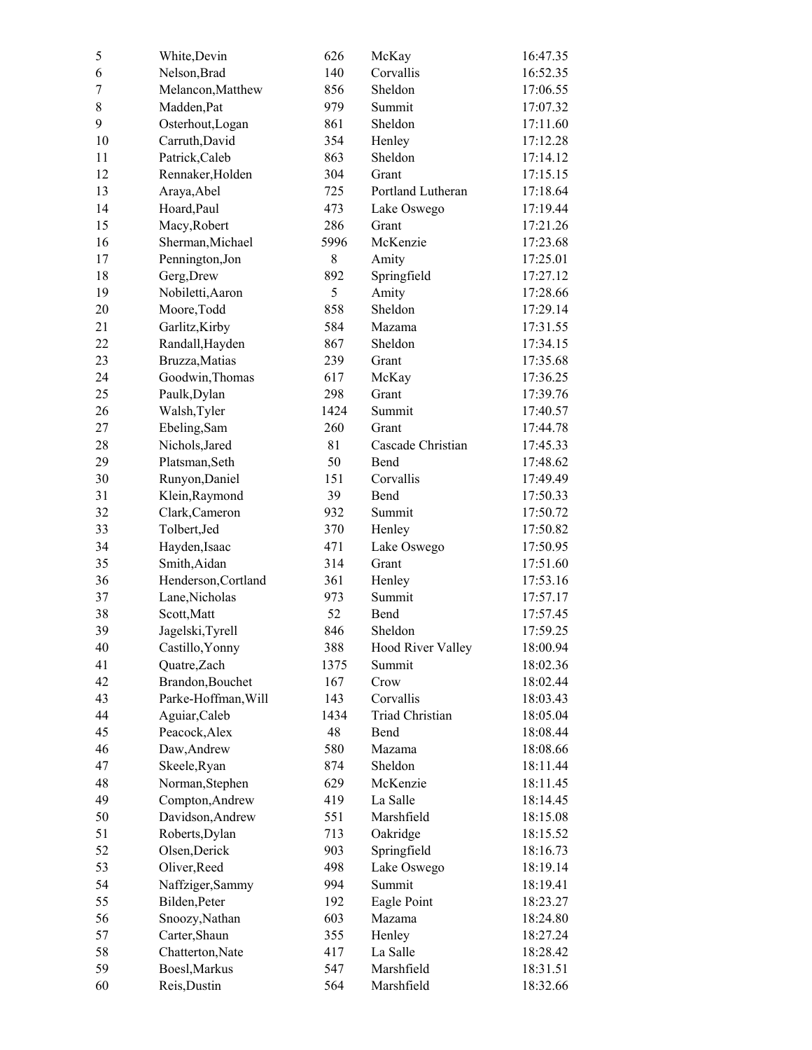| 5  | White, Devin        | 626  | McKay                    | 16:47.35 |
|----|---------------------|------|--------------------------|----------|
| 6  | Nelson, Brad        | 140  | Corvallis                | 16:52.35 |
| 7  | Melancon, Matthew   | 856  | Sheldon                  | 17:06.55 |
| 8  | Madden, Pat         | 979  | Summit                   | 17:07.32 |
| 9  | Osterhout, Logan    | 861  | Sheldon                  | 17:11.60 |
| 10 | Carruth, David      | 354  | Henley                   | 17:12.28 |
| 11 | Patrick, Caleb      | 863  | Sheldon                  | 17:14.12 |
| 12 | Rennaker, Holden    | 304  | Grant                    | 17:15.15 |
| 13 | Araya, Abel         | 725  | Portland Lutheran        | 17:18.64 |
| 14 | Hoard, Paul         | 473  | Lake Oswego              | 17:19.44 |
| 15 | Macy, Robert        | 286  | Grant                    | 17:21.26 |
| 16 | Sherman, Michael    | 5996 | McKenzie                 | 17:23.68 |
| 17 | Pennington, Jon     | 8    | Amity                    | 17:25.01 |
| 18 | Gerg, Drew          | 892  | Springfield              | 17:27.12 |
| 19 | Nobiletti, Aaron    | 5    | Amity                    | 17:28.66 |
| 20 | Moore, Todd         | 858  | Sheldon                  | 17:29.14 |
| 21 | Garlitz, Kirby      | 584  | Mazama                   | 17:31.55 |
| 22 | Randall, Hayden     | 867  | Sheldon                  | 17:34.15 |
| 23 | Bruzza, Matias      | 239  | Grant                    | 17:35.68 |
| 24 | Goodwin, Thomas     | 617  | McKay                    | 17:36.25 |
| 25 | Paulk, Dylan        | 298  | Grant                    | 17:39.76 |
| 26 | Walsh, Tyler        | 1424 | Summit                   | 17:40.57 |
| 27 | Ebeling, Sam        | 260  | Grant                    | 17:44.78 |
| 28 | Nichols, Jared      | 81   | Cascade Christian        | 17:45.33 |
| 29 | Platsman, Seth      | 50   | Bend                     | 17:48.62 |
| 30 | Runyon, Daniel      | 151  | Corvallis                | 17:49.49 |
| 31 | Klein, Raymond      | 39   | Bend                     | 17:50.33 |
| 32 | Clark, Cameron      | 932  | Summit                   | 17:50.72 |
| 33 | Tolbert, Jed        | 370  | Henley                   | 17:50.82 |
| 34 | Hayden, Isaac       | 471  | Lake Oswego              | 17:50.95 |
| 35 | Smith, Aidan        | 314  | Grant                    | 17:51.60 |
| 36 | Henderson, Cortland | 361  | Henley                   | 17:53.16 |
| 37 | Lane, Nicholas      | 973  | Summit                   | 17:57.17 |
| 38 | Scott, Matt         | 52   | Bend                     | 17:57.45 |
| 39 | Jagelski, Tyrell    | 846  | Sheldon                  | 17:59.25 |
| 40 | Castillo, Yonny     | 388  | <b>Hood River Valley</b> | 18:00.94 |
| 41 | Quatre, Zach        | 1375 | Summit                   | 18:02.36 |
| 42 | Brandon, Bouchet    | 167  | Crow                     | 18:02.44 |
| 43 | Parke-Hoffman, Will | 143  | Corvallis                | 18:03.43 |
| 44 | Aguiar, Caleb       | 1434 | <b>Triad Christian</b>   | 18:05.04 |
| 45 | Peacock, Alex       | 48   | Bend                     | 18:08.44 |
| 46 | Daw, Andrew         | 580  | Mazama                   | 18:08.66 |
| 47 | Skeele, Ryan        | 874  | Sheldon                  | 18:11.44 |
| 48 | Norman, Stephen     | 629  | McKenzie                 | 18:11.45 |
| 49 | Compton, Andrew     | 419  | La Salle                 | 18:14.45 |
| 50 | Davidson, Andrew    | 551  | Marshfield               | 18:15.08 |
| 51 | Roberts, Dylan      | 713  | Oakridge                 | 18:15.52 |
| 52 | Olsen, Derick       | 903  | Springfield              | 18:16.73 |
| 53 | Oliver, Reed        | 498  | Lake Oswego              | 18:19.14 |
| 54 | Naffziger, Sammy    | 994  | Summit                   | 18:19.41 |
| 55 | Bilden, Peter       | 192  | Eagle Point              | 18:23.27 |
| 56 | Snoozy, Nathan      | 603  | Mazama                   | 18:24.80 |
| 57 | Carter, Shaun       | 355  | Henley                   | 18:27.24 |
| 58 | Chatterton, Nate    | 417  | La Salle                 | 18:28.42 |
| 59 | Boesl, Markus       | 547  | Marshfield               | 18:31.51 |
| 60 | Reis, Dustin        | 564  | Marshfield               | 18:32.66 |
|    |                     |      |                          |          |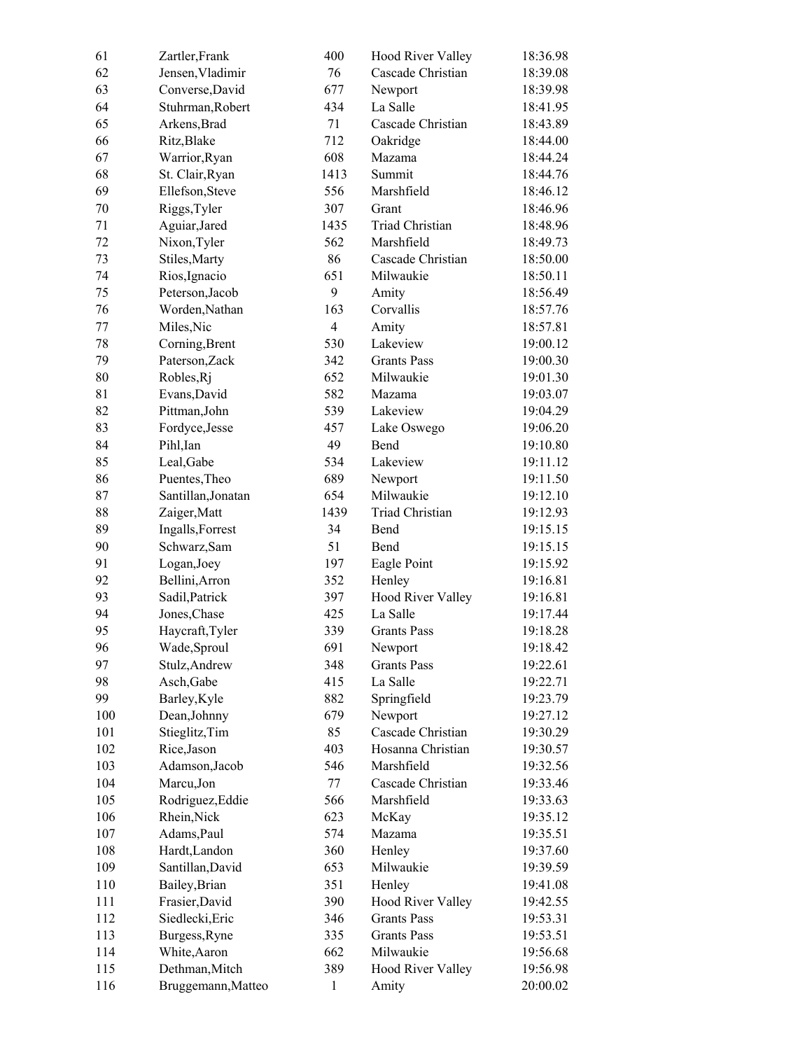| 61  | Zartler, Frank     | 400            | <b>Hood River Valley</b> | 18:36.98 |
|-----|--------------------|----------------|--------------------------|----------|
| 62  | Jensen, Vladimir   | 76             | Cascade Christian        | 18:39.08 |
| 63  | Converse, David    | 677            | Newport                  | 18:39.98 |
| 64  | Stuhrman, Robert   | 434            | La Salle                 | 18:41.95 |
| 65  | Arkens, Brad       | 71             | Cascade Christian        | 18:43.89 |
| 66  | Ritz, Blake        | 712            | Oakridge                 | 18:44.00 |
| 67  | Warrior, Ryan      | 608            | Mazama                   | 18:44.24 |
| 68  | St. Clair, Ryan    | 1413           | Summit                   | 18:44.76 |
| 69  | Ellefson, Steve    | 556            | Marshfield               | 18:46.12 |
| 70  | Riggs, Tyler       | 307            | Grant                    | 18:46.96 |
| 71  | Aguiar, Jared      | 1435           | Triad Christian          | 18:48.96 |
| 72  | Nixon, Tyler       | 562            | Marshfield               | 18:49.73 |
| 73  | Stiles, Marty      | 86             | Cascade Christian        | 18:50.00 |
| 74  | Rios, Ignacio      | 651            | Milwaukie                | 18:50.11 |
| 75  | Peterson, Jacob    | 9              | Amity                    | 18:56.49 |
| 76  | Worden, Nathan     | 163            | Corvallis                | 18:57.76 |
| 77  | Miles, Nic         | $\overline{4}$ | Amity                    | 18:57.81 |
| 78  | Corning, Brent     | 530            | Lakeview                 | 19:00.12 |
| 79  | Paterson, Zack     | 342            | <b>Grants Pass</b>       | 19:00.30 |
| 80  | Robles, Rj         | 652            | Milwaukie                | 19:01.30 |
| 81  | Evans, David       | 582            | Mazama                   | 19:03.07 |
| 82  | Pittman, John      | 539            | Lakeview                 | 19:04.29 |
| 83  | Fordyce, Jesse     | 457            | Lake Oswego              | 19:06.20 |
| 84  | Pihl, Ian          | 49             | Bend                     | 19:10.80 |
| 85  | Leal, Gabe         | 534            | Lakeview                 | 19:11.12 |
| 86  | Puentes, Theo      | 689            | Newport                  | 19:11.50 |
| 87  | Santillan, Jonatan | 654            | Milwaukie                | 19:12.10 |
| 88  | Zaiger, Matt       | 1439           | <b>Triad Christian</b>   | 19:12.93 |
| 89  | Ingalls, Forrest   | 34             | Bend                     | 19:15.15 |
| 90  | Schwarz, Sam       | 51             | Bend                     | 19:15.15 |
| 91  | Logan, Joey        | 197            | Eagle Point              | 19:15.92 |
| 92  | Bellini, Arron     | 352            | Henley                   | 19:16.81 |
| 93  | Sadil, Patrick     | 397            | <b>Hood River Valley</b> | 19:16.81 |
| 94  | Jones, Chase       | 425            | La Salle                 | 19:17.44 |
| 95  | Haycraft, Tyler    | 339            | <b>Grants Pass</b>       | 19:18.28 |
| 96  | Wade, Sproul       | 691            | Newport                  | 19:18.42 |
| 97  | Stulz, Andrew      | 348            | <b>Grants Pass</b>       | 19:22.61 |
| 98  | Asch, Gabe         | 415            | La Salle                 | 19:22.71 |
| 99  | Barley, Kyle       | 882            | Springfield              | 19:23.79 |
| 100 | Dean, Johnny       | 679            | Newport                  | 19:27.12 |
| 101 | Stieglitz, Tim     | 85             | Cascade Christian        | 19:30.29 |
| 102 | Rice, Jason        | 403            | Hosanna Christian        | 19:30.57 |
| 103 | Adamson, Jacob     | 546            | Marshfield               | 19:32.56 |
| 104 | Marcu, Jon         | 77             | Cascade Christian        | 19:33.46 |
| 105 | Rodriguez, Eddie   | 566            | Marshfield               | 19:33.63 |
| 106 | Rhein, Nick        | 623            | McKay                    | 19:35.12 |
| 107 | Adams, Paul        | 574            | Mazama                   | 19:35.51 |
| 108 | Hardt, Landon      | 360            | Henley                   | 19:37.60 |
| 109 | Santillan, David   | 653            | Milwaukie                | 19:39.59 |
| 110 | Bailey, Brian      | 351            | Henley                   | 19:41.08 |
| 111 | Frasier, David     | 390            | <b>Hood River Valley</b> | 19:42.55 |
| 112 | Siedlecki, Eric    | 346            | <b>Grants Pass</b>       | 19:53.31 |
| 113 | Burgess, Ryne      | 335            | <b>Grants Pass</b>       | 19:53.51 |
| 114 | White, Aaron       | 662            | Milwaukie                | 19:56.68 |
| 115 | Dethman, Mitch     | 389            | <b>Hood River Valley</b> | 19:56.98 |
|     |                    |                |                          |          |
| 116 | Bruggemann, Matteo | $\,1$          | Amity                    | 20:00.02 |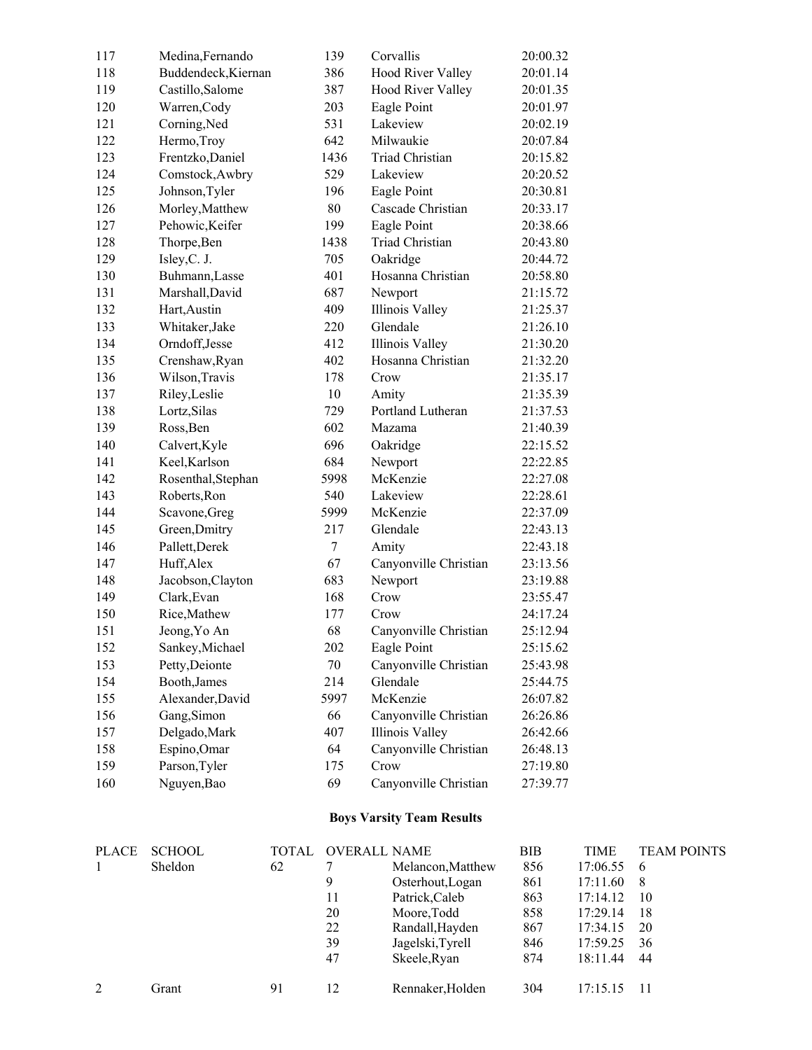| 117          | Medina, Fernando    |              | 139    | Corvallis                        | 20:00.32   |             |                    |
|--------------|---------------------|--------------|--------|----------------------------------|------------|-------------|--------------------|
| 118          | Buddendeck, Kiernan |              | 386    | Hood River Valley                | 20:01.14   |             |                    |
| 119          | Castillo, Salome    |              | 387    | <b>Hood River Valley</b>         | 20:01.35   |             |                    |
| 120          | Warren, Cody        |              | 203    | Eagle Point                      | 20:01.97   |             |                    |
| 121          | Corning, Ned        |              | 531    | Lakeview                         | 20:02.19   |             |                    |
| 122          | Hermo, Troy         |              | 642    | Milwaukie                        | 20:07.84   |             |                    |
| 123          | Frentzko, Daniel    |              | 1436   | Triad Christian                  | 20:15.82   |             |                    |
| 124          | Comstock, Awbry     |              | 529    | Lakeview                         | 20:20.52   |             |                    |
| 125          | Johnson, Tyler      |              | 196    | Eagle Point                      | 20:30.81   |             |                    |
| 126          | Morley, Matthew     |              | $80\,$ | Cascade Christian                | 20:33.17   |             |                    |
| 127          | Pehowic, Keifer     |              | 199    | Eagle Point                      | 20:38.66   |             |                    |
| 128          | Thorpe, Ben         |              | 1438   | Triad Christian                  | 20:43.80   |             |                    |
| 129          | Isley, C. J.        |              | 705    | Oakridge                         | 20:44.72   |             |                    |
| 130          | Buhmann, Lasse      |              | 401    | Hosanna Christian                | 20:58.80   |             |                    |
| 131          | Marshall, David     |              | 687    | Newport                          | 21:15.72   |             |                    |
| 132          | Hart, Austin        |              | 409    | Illinois Valley                  | 21:25.37   |             |                    |
| 133          | Whitaker, Jake      |              | 220    | Glendale                         | 21:26.10   |             |                    |
| 134          | Orndoff, Jesse      |              | 412    | Illinois Valley                  | 21:30.20   |             |                    |
| 135          | Crenshaw, Ryan      |              | 402    | Hosanna Christian                | 21:32.20   |             |                    |
| 136          | Wilson, Travis      |              | 178    | Crow                             | 21:35.17   |             |                    |
| 137          | Riley, Leslie       |              | 10     | Amity                            | 21:35.39   |             |                    |
| 138          | Lortz, Silas        |              | 729    | Portland Lutheran                | 21:37.53   |             |                    |
| 139          | Ross, Ben           |              | 602    | Mazama                           | 21:40.39   |             |                    |
| 140          | Calvert, Kyle       |              | 696    | Oakridge                         | 22:15.52   |             |                    |
| 141          | Keel, Karlson       |              | 684    | Newport                          | 22:22.85   |             |                    |
| 142          | Rosenthal, Stephan  |              | 5998   | McKenzie                         | 22:27.08   |             |                    |
| 143          | Roberts, Ron        |              | 540    | Lakeview                         | 22:28.61   |             |                    |
| 144          | Scavone, Greg       |              | 5999   | McKenzie                         | 22:37.09   |             |                    |
| 145          | Green, Dmitry       |              | 217    | Glendale                         | 22:43.13   |             |                    |
| 146          | Pallett, Derek      |              | $\tau$ | Amity                            | 22:43.18   |             |                    |
| 147          | Huff, Alex          |              | 67     | Canyonville Christian            | 23:13.56   |             |                    |
| 148          | Jacobson, Clayton   |              | 683    | Newport                          | 23:19.88   |             |                    |
| 149          | Clark, Evan         |              | 168    | Crow                             | 23:55.47   |             |                    |
| 150          | Rice, Mathew        |              | 177    | Crow                             | 24:17.24   |             |                    |
| 151          | Jeong, Yo An        |              | 68     | Canyonville Christian            | 25:12.94   |             |                    |
| 152          | Sankey, Michael     |              | 202    | Eagle Point                      | 25:15.62   |             |                    |
| 153          | Petty, Deionte      |              | 70     | Canyonville Christian            | 25:43.98   |             |                    |
| 154          | Booth, James        |              | 214    | Glendale                         | 25:44.75   |             |                    |
| 155          | Alexander, David    |              | 5997   | McKenzie                         | 26:07.82   |             |                    |
| 156          | Gang, Simon         |              | 66     | Canyonville Christian            | 26:26.86   |             |                    |
| 157          | Delgado, Mark       |              | 407    | Illinois Valley                  | 26:42.66   |             |                    |
| 158          | Espino, Omar        |              | 64     | Canyonville Christian            | 26:48.13   |             |                    |
| 159          | Parson, Tyler       |              | 175    | Crow                             | 27:19.80   |             |                    |
| 160          | Nguyen, Bao         |              | 69     | Canyonville Christian            | 27:39.77   |             |                    |
|              |                     |              |        | <b>Boys Varsity Team Results</b> |            |             |                    |
| <b>PLACE</b> | <b>SCHOOL</b>       | <b>TOTAL</b> |        | <b>OVERALL NAME</b>              | <b>BIB</b> | <b>TIME</b> | <b>TEAM POINTS</b> |
| 1            | Sheldon             | 62           | 7      | Melancon, Matthew                | 856        | 17:06.55    | 6                  |

| <b>FLAUL</b> | SUNUUL  | IUIAL | UVERALL NAME |                   | DID | I INIE.  | LEANI PUINTS |
|--------------|---------|-------|--------------|-------------------|-----|----------|--------------|
|              | Sheldon | 62    |              | Melancon, Matthew | 856 | 17:06.55 | -6           |
|              |         |       | 9            | Osterhout, Logan  | 861 | 17:11.60 | -8           |
|              |         |       | 11           | Patrick, Caleb    | 863 | 17:14.12 | 10           |
|              |         |       | 20           | Moore, Todd       | 858 | 17:29.14 | 18           |
|              |         |       | 22           | Randall, Hayden   | 867 | 17:34.15 | 20           |
|              |         |       | 39           | Jagelski, Tyrell  | 846 | 17:59.25 | 36           |
|              |         |       | 47           | Skeele, Ryan      | 874 | 18:11.44 | 44           |
|              | Grant   | 91    | 12           | Rennaker, Holden  | 304 | 17:15.15 |              |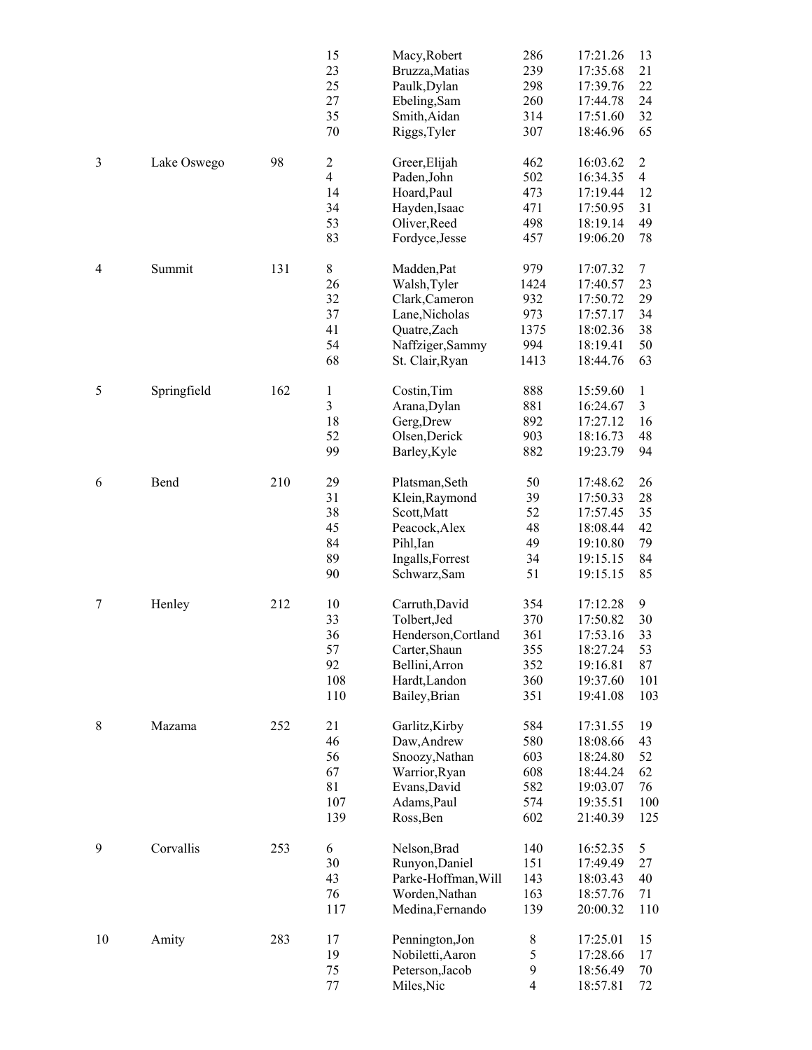|    |             |     | 15<br>23<br>25<br>27<br>35<br>70                         | Macy, Robert<br>Bruzza, Matias<br>Paulk, Dylan<br>Ebeling, Sam<br>Smith, Aidan<br>Riggs, Tyler                             | 286<br>239<br>298<br>260<br>314<br>307           | 17:21.26<br>17:35.68<br>17:39.76<br>17:44.78<br>17:51.60<br>18:46.96             | 13<br>21<br>22<br>24<br>32<br>65                         |
|----|-------------|-----|----------------------------------------------------------|----------------------------------------------------------------------------------------------------------------------------|--------------------------------------------------|----------------------------------------------------------------------------------|----------------------------------------------------------|
| 3  | Lake Oswego | 98  | $\overline{c}$<br>$\overline{4}$<br>14<br>34<br>53<br>83 | Greer, Elijah<br>Paden, John<br>Hoard, Paul<br>Hayden, Isaac<br>Oliver, Reed<br>Fordyce, Jesse                             | 462<br>502<br>473<br>471<br>498<br>457           | 16:03.62<br>16:34.35<br>17:19.44<br>17:50.95<br>18:19.14<br>19:06.20             | $\overline{2}$<br>$\overline{4}$<br>12<br>31<br>49<br>78 |
| 4  | Summit      | 131 | 8<br>26<br>32<br>37<br>41<br>54<br>68                    | Madden, Pat<br>Walsh, Tyler<br>Clark, Cameron<br>Lane, Nicholas<br>Quatre, Zach<br>Naffziger, Sammy<br>St. Clair, Ryan     | 979<br>1424<br>932<br>973<br>1375<br>994<br>1413 | 17:07.32<br>17:40.57<br>17:50.72<br>17:57.17<br>18:02.36<br>18:19.41<br>18:44.76 | $\tau$<br>23<br>29<br>34<br>38<br>50<br>63               |
| 5  | Springfield | 162 | $\,1$<br>$\overline{\mathbf{3}}$<br>18<br>52<br>99       | Costin, Tim<br>Arana, Dylan<br>Gerg, Drew<br>Olsen, Derick<br>Barley, Kyle                                                 | 888<br>881<br>892<br>903<br>882                  | 15:59.60<br>16:24.67<br>17:27.12<br>18:16.73<br>19:23.79                         | $\mathbf{1}$<br>3<br>16<br>48<br>94                      |
| 6  | Bend        | 210 | 29<br>31<br>38<br>45<br>84<br>89<br>90                   | Platsman, Seth<br>Klein, Raymond<br>Scott, Matt<br>Peacock, Alex<br>Pihl, Ian<br>Ingalls, Forrest<br>Schwarz, Sam          | 50<br>39<br>52<br>48<br>49<br>34<br>51           | 17:48.62<br>17:50.33<br>17:57.45<br>18:08.44<br>19:10.80<br>19:15.15<br>19:15.15 | 26<br>28<br>35<br>42<br>79<br>84<br>85                   |
| 7  | Henley      | 212 | 10<br>33<br>36<br>57<br>92<br>108<br>110                 | Carruth, David<br>Tolbert, Jed<br>Henderson, Cortland<br>Carter, Shaun<br>Bellini, Arron<br>Hardt, Landon<br>Bailey, Brian | 354<br>370<br>361<br>355<br>352<br>360<br>351    | 17:12.28<br>17:50.82<br>17:53.16<br>18:27.24<br>19:16.81<br>19:37.60<br>19:41.08 | 9<br>30<br>33<br>53<br>87<br>101<br>103                  |
| 8  | Mazama      | 252 | 21<br>46<br>56<br>67<br>81<br>107<br>139                 | Garlitz, Kirby<br>Daw, Andrew<br>Snoozy, Nathan<br>Warrior, Ryan<br>Evans, David<br>Adams, Paul<br>Ross, Ben               | 584<br>580<br>603<br>608<br>582<br>574<br>602    | 17:31.55<br>18:08.66<br>18:24.80<br>18:44.24<br>19:03.07<br>19:35.51<br>21:40.39 | 19<br>43<br>52<br>62<br>76<br>100<br>125                 |
| 9  | Corvallis   | 253 | 6<br>30<br>43<br>76<br>117                               | Nelson, Brad<br>Runyon, Daniel<br>Parke-Hoffman, Will<br>Worden, Nathan<br>Medina, Fernando                                | 140<br>151<br>143<br>163<br>139                  | 16:52.35<br>17:49.49<br>18:03.43<br>18:57.76<br>20:00.32                         | 5<br>27<br>40<br>71<br>110                               |
| 10 | Amity       | 283 | 17<br>19<br>75<br>77                                     | Pennington, Jon<br>Nobiletti, Aaron<br>Peterson, Jacob<br>Miles, Nic                                                       | $8\,$<br>5<br>9<br>$\overline{4}$                | 17:25.01<br>17:28.66<br>18:56.49<br>18:57.81                                     | 15<br>17<br>70<br>72                                     |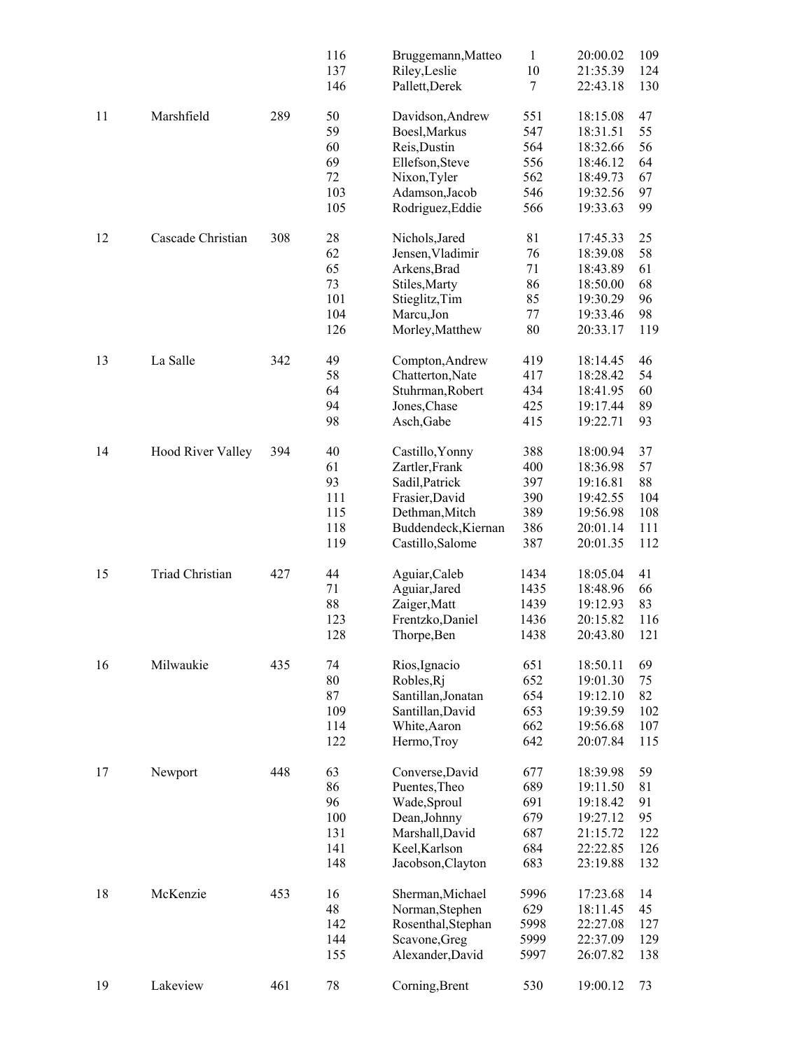|    |                          |     | 116 | Bruggemann, Matteo  | $\mathbf{1}$ | 20:00.02 | 109 |
|----|--------------------------|-----|-----|---------------------|--------------|----------|-----|
|    |                          |     | 137 | Riley, Leslie       | 10           | 21:35.39 | 124 |
|    |                          |     | 146 | Pallett, Derek      | 7            | 22:43.18 | 130 |
| 11 | Marshfield               | 289 | 50  | Davidson, Andrew    | 551          | 18:15.08 | 47  |
|    |                          |     | 59  | Boesl, Markus       | 547          | 18:31.51 | 55  |
|    |                          |     | 60  | Reis, Dustin        | 564          | 18:32.66 | 56  |
|    |                          |     | 69  |                     | 556          |          |     |
|    |                          |     |     | Ellefson, Steve     |              | 18:46.12 | 64  |
|    |                          |     | 72  | Nixon, Tyler        | 562          | 18:49.73 | 67  |
|    |                          |     | 103 | Adamson, Jacob      | 546          | 19:32.56 | 97  |
|    |                          |     | 105 | Rodriguez, Eddie    | 566          | 19:33.63 | 99  |
| 12 | Cascade Christian        | 308 | 28  | Nichols, Jared      | 81           | 17:45.33 | 25  |
|    |                          |     | 62  | Jensen, Vladimir    | 76           | 18:39.08 | 58  |
|    |                          |     | 65  |                     | 71           |          |     |
|    |                          |     |     | Arkens, Brad        |              | 18:43.89 | 61  |
|    |                          |     | 73  | Stiles, Marty       | 86           | 18:50.00 | 68  |
|    |                          |     | 101 | Stieglitz, Tim      | 85           | 19:30.29 | 96  |
|    |                          |     | 104 | Marcu, Jon          | 77           | 19:33.46 | 98  |
|    |                          |     | 126 | Morley, Matthew     | 80           | 20:33.17 | 119 |
| 13 | La Salle                 | 342 | 49  | Compton, Andrew     | 419          | 18:14.45 | 46  |
|    |                          |     | 58  | Chatterton, Nate    | 417          | 18:28.42 | 54  |
|    |                          |     |     |                     |              |          |     |
|    |                          |     | 64  | Stuhrman, Robert    | 434          | 18:41.95 | 60  |
|    |                          |     | 94  | Jones, Chase        | 425          | 19:17.44 | 89  |
|    |                          |     | 98  | Asch, Gabe          | 415          | 19:22.71 | 93  |
| 14 | <b>Hood River Valley</b> | 394 | 40  | Castillo, Yonny     | 388          | 18:00.94 | 37  |
|    |                          |     | 61  | Zartler, Frank      | 400          | 18:36.98 | 57  |
|    |                          |     | 93  | Sadil, Patrick      | 397          | 19:16.81 | 88  |
|    |                          |     |     |                     | 390          |          |     |
|    |                          |     | 111 | Frasier, David      |              | 19:42.55 | 104 |
|    |                          |     | 115 | Dethman, Mitch      | 389          | 19:56.98 | 108 |
|    |                          |     | 118 | Buddendeck, Kiernan | 386          | 20:01.14 | 111 |
|    |                          |     | 119 | Castillo, Salome    | 387          | 20:01.35 | 112 |
| 15 | <b>Triad Christian</b>   | 427 | 44  | Aguiar, Caleb       | 1434         | 18:05.04 | 41  |
|    |                          |     | 71  | Aguiar, Jared       | 1435         | 18:48.96 | 66  |
|    |                          |     | 88  | Zaiger, Matt        | 1439         | 19:12.93 | 83  |
|    |                          |     | 123 |                     | 1436         | 20:15.82 | 116 |
|    |                          |     |     | Frentzko, Daniel    |              |          |     |
|    |                          |     | 128 | Thorpe, Ben         | 1438         | 20:43.80 | 121 |
| 16 | Milwaukie                | 435 | 74  | Rios, Ignacio       | 651          | 18:50.11 | 69  |
|    |                          |     | 80  | Robles, Rj          | 652          | 19:01.30 | 75  |
|    |                          |     | 87  | Santillan, Jonatan  | 654          | 19:12.10 | 82  |
|    |                          |     | 109 | Santillan, David    | 653          | 19:39.59 | 102 |
|    |                          |     | 114 | White, Aaron        | 662          | 19:56.68 | 107 |
|    |                          |     | 122 | Hermo, Troy         | 642          | 20:07.84 | 115 |
|    |                          |     |     |                     |              |          |     |
| 17 | Newport                  | 448 | 63  | Converse, David     | 677          | 18:39.98 | 59  |
|    |                          |     | 86  | Puentes, Theo       | 689          | 19:11.50 | 81  |
|    |                          |     | 96  | Wade, Sproul        | 691          | 19:18.42 | 91  |
|    |                          |     | 100 | Dean, Johnny        | 679          | 19:27.12 | 95  |
|    |                          |     | 131 | Marshall, David     | 687          | 21:15.72 | 122 |
|    |                          |     | 141 |                     | 684          |          |     |
|    |                          |     |     | Keel, Karlson       |              | 22:22.85 | 126 |
|    |                          |     | 148 | Jacobson, Clayton   | 683          | 23:19.88 | 132 |
| 18 | McKenzie                 | 453 | 16  | Sherman, Michael    | 5996         | 17:23.68 | 14  |
|    |                          |     | 48  | Norman, Stephen     | 629          | 18:11.45 | 45  |
|    |                          |     | 142 | Rosenthal, Stephan  | 5998         | 22:27.08 | 127 |
|    |                          |     | 144 | Scavone, Greg       | 5999         | 22:37.09 | 129 |
|    |                          |     | 155 | Alexander, David    | 5997         | 26:07.82 | 138 |
|    |                          |     |     |                     |              |          |     |
| 19 | Lakeview                 | 461 | 78  | Corning, Brent      | 530          | 19:00.12 | 73  |